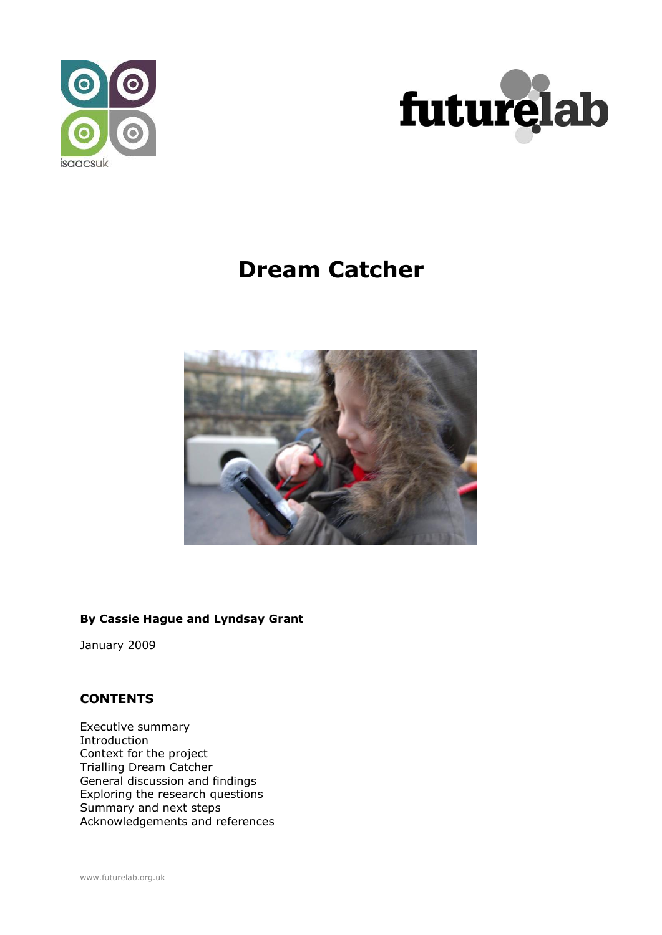



# **Dream Catcher**



# **By Cassie Hague and Lyndsay Grant**

January 2009

# **CONTENTS**

Executive summary Introduction Context for the project Trialling Dream Catcher General discussion and findings Exploring the research questions Summary and next steps Acknowledgements and references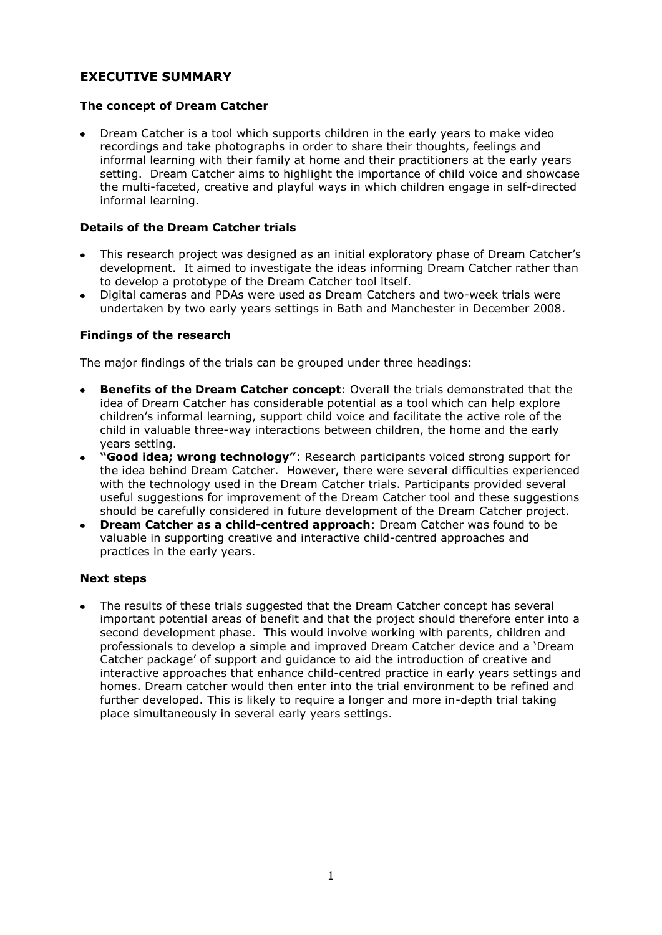# **EXECUTIVE SUMMARY**

#### **The concept of Dream Catcher**

Dream Catcher is a tool which supports children in the early years to make video recordings and take photographs in order to share their thoughts, feelings and informal learning with their family at home and their practitioners at the early years setting. Dream Catcher aims to highlight the importance of child voice and showcase the multi-faceted, creative and playful ways in which children engage in self-directed informal learning.

#### **Details of the Dream Catcher trials**

- This research project was designed as an initial exploratory phase of Dream Catcher's development. It aimed to investigate the ideas informing Dream Catcher rather than to develop a prototype of the Dream Catcher tool itself.
- Digital cameras and PDAs were used as Dream Catchers and two-week trials were undertaken by two early years settings in Bath and Manchester in December 2008.

#### **Findings of the research**

The major findings of the trials can be grouped under three headings:

- **Benefits of the Dream Catcher concept**: Overall the trials demonstrated that the idea of Dream Catcher has considerable potential as a tool which can help explore children"s informal learning, support child voice and facilitate the active role of the child in valuable three-way interactions between children, the home and the early years setting.
- **"Good idea; wrong technology"**: Research participants voiced strong support for the idea behind Dream Catcher. However, there were several difficulties experienced with the technology used in the Dream Catcher trials. Participants provided several useful suggestions for improvement of the Dream Catcher tool and these suggestions should be carefully considered in future development of the Dream Catcher project.
- **Dream Catcher as a child-centred approach**: Dream Catcher was found to be valuable in supporting creative and interactive child-centred approaches and practices in the early years.

#### **Next steps**

The results of these trials suggested that the Dream Catcher concept has several  $\bullet$ important potential areas of benefit and that the project should therefore enter into a second development phase. This would involve working with parents, children and professionals to develop a simple and improved Dream Catcher device and a "Dream Catcher package" of support and guidance to aid the introduction of creative and interactive approaches that enhance child-centred practice in early years settings and homes. Dream catcher would then enter into the trial environment to be refined and further developed. This is likely to require a longer and more in-depth trial taking place simultaneously in several early years settings.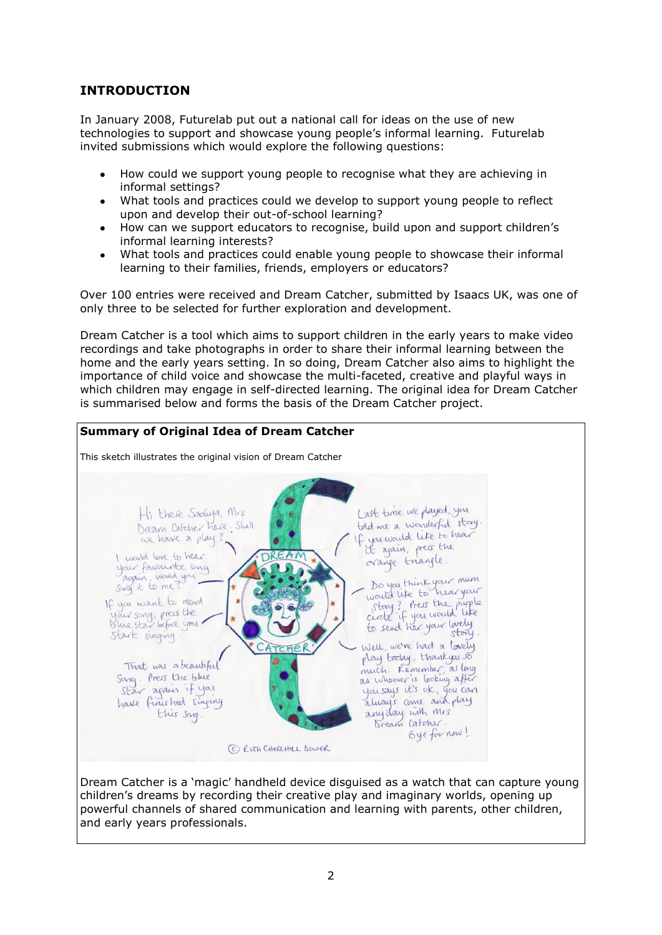# **INTRODUCTION**

In January 2008, Futurelab put out a national call for ideas on the use of new technologies to support and showcase young people"s informal learning. Futurelab invited submissions which would explore the following questions:

- How could we support young people to recognise what they are achieving in informal settings?
- What tools and practices could we develop to support young people to reflect  $\bullet$ upon and develop their out-of-school learning?
- How can we support educators to recognise, build upon and support children"s  $\bullet$ informal learning interests?
- What tools and practices could enable young people to showcase their informal  $\bullet$ learning to their families, friends, employers or educators?

Over 100 entries were received and Dream Catcher, submitted by Isaacs UK, was one of only three to be selected for further exploration and development.

Dream Catcher is a tool which aims to support children in the early years to make video recordings and take photographs in order to share their informal learning between the home and the early years setting. In so doing, Dream Catcher also aims to highlight the importance of child voice and showcase the multi-faceted, creative and playful ways in which children may engage in self-directed learning. The original idea for Dream Catcher is summarised below and forms the basis of the Dream Catcher project.

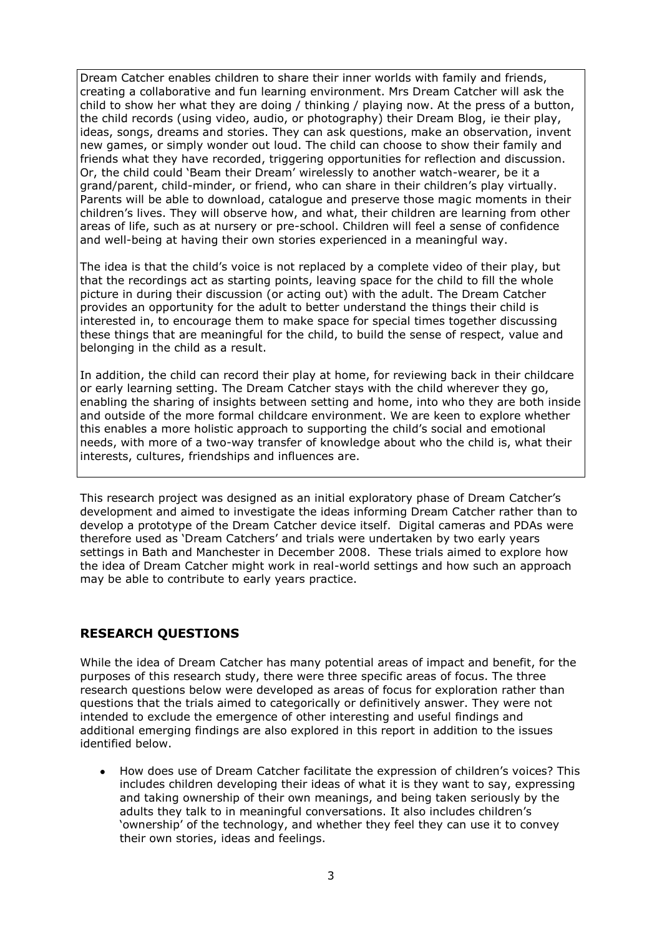Dream Catcher enables children to share their inner worlds with family and friends, creating a collaborative and fun learning environment. Mrs Dream Catcher will ask the child to show her what they are doing / thinking / playing now. At the press of a button, the child records (using video, audio, or photography) their Dream Blog, ie their play, ideas, songs, dreams and stories. They can ask questions, make an observation, invent new games, or simply wonder out loud. The child can choose to show their family and friends what they have recorded, triggering opportunities for reflection and discussion. Or, the child could "Beam their Dream" wirelessly to another watch-wearer, be it a grand/parent, child-minder, or friend, who can share in their children"s play virtually. Parents will be able to download, catalogue and preserve those magic moments in their children"s lives. They will observe how, and what, their children are learning from other areas of life, such as at nursery or pre-school. Children will feel a sense of confidence and well-being at having their own stories experienced in a meaningful way.

The idea is that the child"s voice is not replaced by a complete video of their play, but that the recordings act as starting points, leaving space for the child to fill the whole picture in during their discussion (or acting out) with the adult. The Dream Catcher provides an opportunity for the adult to better understand the things their child is interested in, to encourage them to make space for special times together discussing these things that are meaningful for the child, to build the sense of respect, value and belonging in the child as a result.

In addition, the child can record their play at home, for reviewing back in their childcare or early learning setting. The Dream Catcher stays with the child wherever they go, enabling the sharing of insights between setting and home, into who they are both inside and outside of the more formal childcare environment. We are keen to explore whether this enables a more holistic approach to supporting the child"s social and emotional needs, with more of a two-way transfer of knowledge about who the child is, what their interests, cultures, friendships and influences are.

This research project was designed as an initial exploratory phase of Dream Catcher"s development and aimed to investigate the ideas informing Dream Catcher rather than to develop a prototype of the Dream Catcher device itself. Digital cameras and PDAs were therefore used as "Dream Catchers" and trials were undertaken by two early years settings in Bath and Manchester in December 2008. These trials aimed to explore how the idea of Dream Catcher might work in real-world settings and how such an approach may be able to contribute to early years practice.

# **RESEARCH QUESTIONS**

While the idea of Dream Catcher has many potential areas of impact and benefit, for the purposes of this research study, there were three specific areas of focus. The three research questions below were developed as areas of focus for exploration rather than questions that the trials aimed to categorically or definitively answer. They were not intended to exclude the emergence of other interesting and useful findings and additional emerging findings are also explored in this report in addition to the issues identified below.

How does use of Dream Catcher facilitate the expression of children's voices? This includes children developing their ideas of what it is they want to say, expressing and taking ownership of their own meanings, and being taken seriously by the adults they talk to in meaningful conversations. It also includes children"s "ownership" of the technology, and whether they feel they can use it to convey their own stories, ideas and feelings.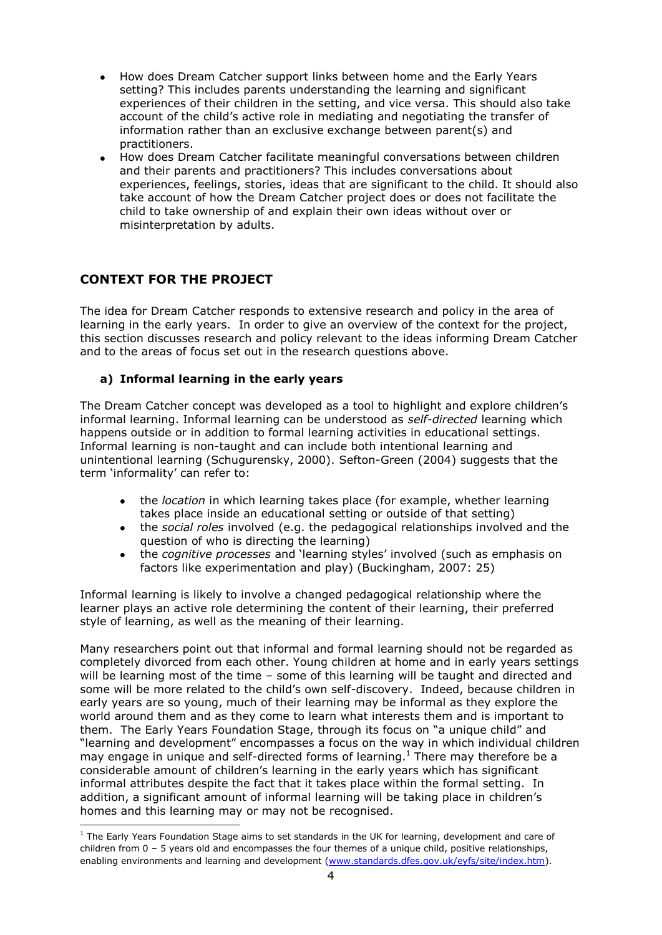- How does Dream Catcher support links between home and the Early Years  $\bullet$ setting? This includes parents understanding the learning and significant experiences of their children in the setting, and vice versa. This should also take account of the child"s active role in mediating and negotiating the transfer of information rather than an exclusive exchange between parent(s) and practitioners.
- How does Dream Catcher facilitate meaningful conversations between children and their parents and practitioners? This includes conversations about experiences, feelings, stories, ideas that are significant to the child. It should also take account of how the Dream Catcher project does or does not facilitate the child to take ownership of and explain their own ideas without over or misinterpretation by adults.

# **CONTEXT FOR THE PROJECT**

-

The idea for Dream Catcher responds to extensive research and policy in the area of learning in the early years. In order to give an overview of the context for the project, this section discusses research and policy relevant to the ideas informing Dream Catcher and to the areas of focus set out in the research questions above.

## **a) Informal learning in the early years**

The Dream Catcher concept was developed as a tool to highlight and explore children"s informal learning. Informal learning can be understood as *self-directed* learning which happens outside or in addition to formal learning activities in educational settings. Informal learning is non-taught and can include both intentional learning and unintentional learning (Schugurensky, 2000). Sefton-Green (2004) suggests that the term 'informality' can refer to:

- the *location* in which learning takes place (for example, whether learning  $\bullet$ takes place inside an educational setting or outside of that setting)
- $\bullet$ the *social roles* involved (e.g. the pedagogical relationships involved and the question of who is directing the learning)
- the *cognitive processes* and "learning styles" involved (such as emphasis on factors like experimentation and play) (Buckingham, 2007: 25)

Informal learning is likely to involve a changed pedagogical relationship where the learner plays an active role determining the content of their learning, their preferred style of learning, as well as the meaning of their learning.

Many researchers point out that informal and formal learning should not be regarded as completely divorced from each other. Young children at home and in early years settings will be learning most of the time – some of this learning will be taught and directed and some will be more related to the child"s own self-discovery. Indeed, because children in early years are so young, much of their learning may be informal as they explore the world around them and as they come to learn what interests them and is important to them. The Early Years Foundation Stage, through its focus on "a unique child" and "learning and development" encompasses a focus on the way in which individual children may engage in unique and self-directed forms of learning.<sup>1</sup> There may therefore be a considerable amount of children"s learning in the early years which has significant informal attributes despite the fact that it takes place within the formal setting. In addition, a significant amount of informal learning will be taking place in children's homes and this learning may or may not be recognised.

 $<sup>1</sup>$  The Early Years Foundation Stage aims to set standards in the UK for learning, development and care of</sup> children from 0 – 5 years old and encompasses the four themes of a unique child, positive relationships, enabling environments and learning and development [\(www.standards.dfes.gov.uk/eyfs/site/index.htm\)](http://www.standards.dfes.gov.uk/eyfs/site/index.htm).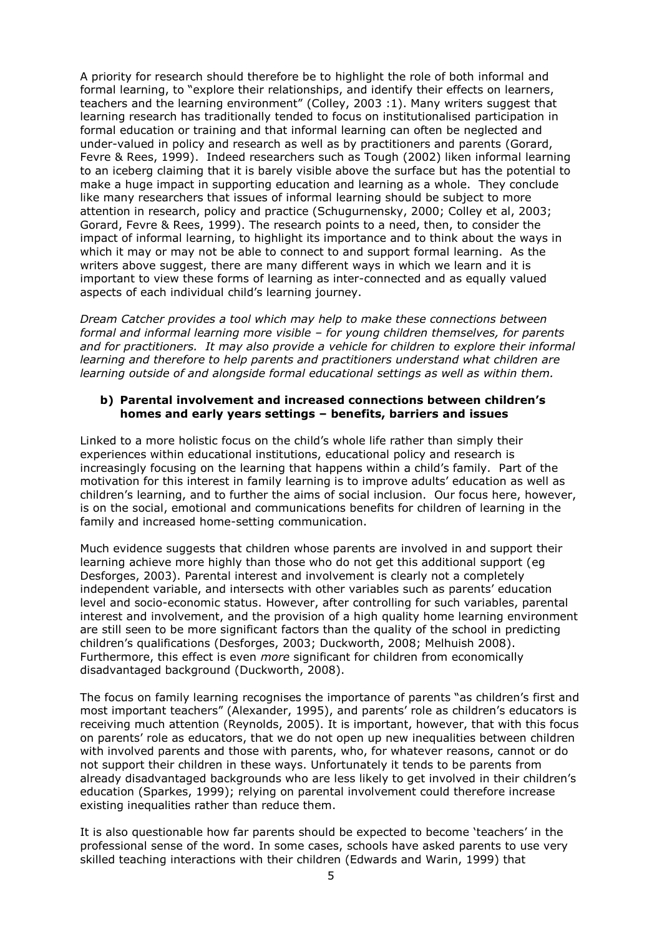A priority for research should therefore be to highlight the role of both informal and formal learning, to "explore their relationships, and identify their effects on learners, teachers and the learning environment" (Colley, 2003 :1). Many writers suggest that learning research has traditionally tended to focus on institutionalised participation in formal education or training and that informal learning can often be neglected and under-valued in policy and research as well as by practitioners and parents (Gorard, Fevre & Rees, 1999). Indeed researchers such as Tough (2002) liken informal learning to an iceberg claiming that it is barely visible above the surface but has the potential to make a huge impact in supporting education and learning as a whole. They conclude like many researchers that issues of informal learning should be subject to more attention in research, policy and practice (Schugurnensky, 2000; Colley et al, 2003; Gorard, Fevre & Rees, 1999). The research points to a need, then, to consider the impact of informal learning, to highlight its importance and to think about the ways in which it may or may not be able to connect to and support formal learning. As the writers above suggest, there are many different ways in which we learn and it is important to view these forms of learning as inter-connected and as equally valued aspects of each individual child"s learning journey.

*Dream Catcher provides a tool which may help to make these connections between formal and informal learning more visible – for young children themselves, for parents and for practitioners. It may also provide a vehicle for children to explore their informal learning and therefore to help parents and practitioners understand what children are learning outside of and alongside formal educational settings as well as within them.*

#### **b) Parental involvement and increased connections between children"s homes and early years settings – benefits, barriers and issues**

Linked to a more holistic focus on the child"s whole life rather than simply their experiences within educational institutions, educational policy and research is increasingly focusing on the learning that happens within a child"s family. Part of the motivation for this interest in family learning is to improve adults" education as well as children"s learning, and to further the aims of social inclusion. Our focus here, however, is on the social, emotional and communications benefits for children of learning in the family and increased home-setting communication.

Much evidence suggests that children whose parents are involved in and support their learning achieve more highly than those who do not get this additional support (eg Desforges, 2003). Parental interest and involvement is clearly not a completely independent variable, and intersects with other variables such as parents" education level and socio-economic status. However, after controlling for such variables, parental interest and involvement, and the provision of a high quality home learning environment are still seen to be more significant factors than the quality of the school in predicting children"s qualifications (Desforges, 2003; Duckworth, 2008; Melhuish 2008). Furthermore, this effect is even *more* significant for children from economically disadvantaged background (Duckworth, 2008).

The focus on family learning recognises the importance of parents "as children"s first and most important teachers" (Alexander, 1995), and parents' role as children's educators is receiving much attention (Reynolds, 2005). It is important, however, that with this focus on parents" role as educators, that we do not open up new inequalities between children with involved parents and those with parents, who, for whatever reasons, cannot or do not support their children in these ways. Unfortunately it tends to be parents from already disadvantaged backgrounds who are less likely to get involved in their children"s education (Sparkes, 1999); relying on parental involvement could therefore increase existing inequalities rather than reduce them.

It is also questionable how far parents should be expected to become "teachers" in the professional sense of the word. In some cases, schools have asked parents to use very skilled teaching interactions with their children (Edwards and Warin, 1999) that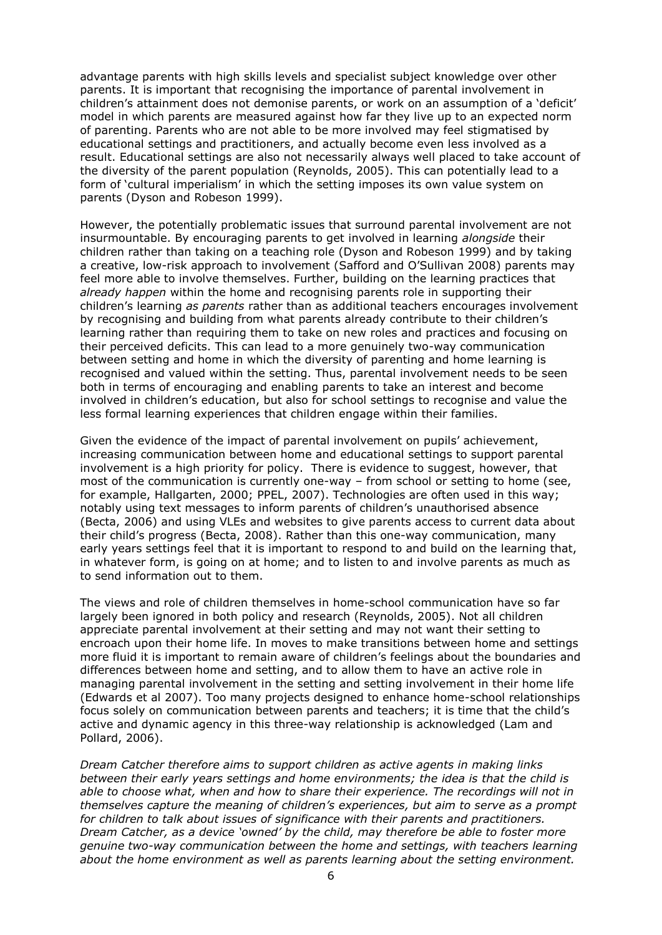advantage parents with high skills levels and specialist subject knowledge over other parents. It is important that recognising the importance of parental involvement in children's attainment does not demonise parents, or work on an assumption of a 'deficit' model in which parents are measured against how far they live up to an expected norm of parenting. Parents who are not able to be more involved may feel stigmatised by educational settings and practitioners, and actually become even less involved as a result. Educational settings are also not necessarily always well placed to take account of the diversity of the parent population (Reynolds, 2005). This can potentially lead to a form of 'cultural imperialism' in which the setting imposes its own value system on parents (Dyson and Robeson 1999).

However, the potentially problematic issues that surround parental involvement are not insurmountable. By encouraging parents to get involved in learning *alongside* their children rather than taking on a teaching role (Dyson and Robeson 1999) and by taking a creative, low-risk approach to involvement (Safford and O"Sullivan 2008) parents may feel more able to involve themselves. Further, building on the learning practices that *already happen* within the home and recognising parents role in supporting their children"s learning *as parents* rather than as additional teachers encourages involvement by recognising and building from what parents already contribute to their children"s learning rather than requiring them to take on new roles and practices and focusing on their perceived deficits. This can lead to a more genuinely two-way communication between setting and home in which the diversity of parenting and home learning is recognised and valued within the setting. Thus, parental involvement needs to be seen both in terms of encouraging and enabling parents to take an interest and become involved in children"s education, but also for school settings to recognise and value the less formal learning experiences that children engage within their families.

Given the evidence of the impact of parental involvement on pupils" achievement, increasing communication between home and educational settings to support parental involvement is a high priority for policy. There is evidence to suggest, however, that most of the communication is currently one-way – from school or setting to home (see, for example, Hallgarten, 2000; PPEL, 2007). Technologies are often used in this way; notably using text messages to inform parents of children"s unauthorised absence (Becta, 2006) and using VLEs and websites to give parents access to current data about their child"s progress (Becta, 2008). Rather than this one-way communication, many early years settings feel that it is important to respond to and build on the learning that, in whatever form, is going on at home; and to listen to and involve parents as much as to send information out to them.

The views and role of children themselves in home-school communication have so far largely been ignored in both policy and research (Reynolds, 2005). Not all children appreciate parental involvement at their setting and may not want their setting to encroach upon their home life. In moves to make transitions between home and settings more fluid it is important to remain aware of children"s feelings about the boundaries and differences between home and setting, and to allow them to have an active role in managing parental involvement in the setting and setting involvement in their home life (Edwards et al 2007). Too many projects designed to enhance home-school relationships focus solely on communication between parents and teachers; it is time that the child"s active and dynamic agency in this three-way relationship is acknowledged (Lam and Pollard, 2006).

*Dream Catcher therefore aims to support children as active agents in making links between their early years settings and home environments; the idea is that the child is able to choose what, when and how to share their experience. The recordings will not in themselves capture the meaning of children's experiences, but aim to serve as a prompt for children to talk about issues of significance with their parents and practitioners. Dream Catcher, as a device 'owned' by the child, may therefore be able to foster more genuine two-way communication between the home and settings, with teachers learning about the home environment as well as parents learning about the setting environment.*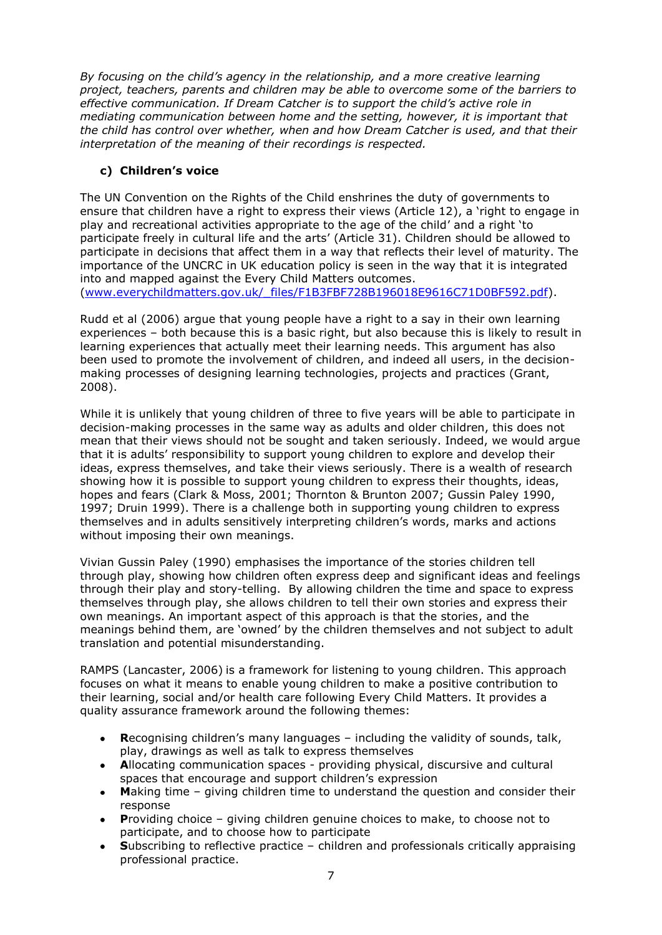*By focusing on the child's agency in the relationship, and a more creative learning project, teachers, parents and children may be able to overcome some of the barriers to effective communication. If Dream Catcher is to support the child's active role in mediating communication between home and the setting, however, it is important that the child has control over whether, when and how Dream Catcher is used, and that their interpretation of the meaning of their recordings is respected.*

## **c) Children"s voice**

The UN Convention on the Rights of the Child enshrines the duty of governments to ensure that children have a right to express their views (Article 12), a "right to engage in play and recreational activities appropriate to the age of the child" and a right "to participate freely in cultural life and the arts' (Article 31). Children should be allowed to participate in decisions that affect them in a way that reflects their level of maturity. The importance of the UNCRC in UK education policy is seen in the way that it is integrated into and mapped against the Every Child Matters outcomes.

[\(www.everychildmatters.gov.uk/\\_files/F1B3FBF728B196018E9616C71D0BF592.pdf\)](http://www.everychildmatters.gov.uk/_files/F1B3FBF728B196018E9616C71D0BF592.pdf).

Rudd et al (2006) argue that young people have a right to a say in their own learning experiences – both because this is a basic right, but also because this is likely to result in learning experiences that actually meet their learning needs. This argument has also been used to promote the involvement of children, and indeed all users, in the decisionmaking processes of designing learning technologies, projects and practices (Grant, 2008).

While it is unlikely that young children of three to five years will be able to participate in decision-making processes in the same way as adults and older children, this does not mean that their views should not be sought and taken seriously. Indeed, we would argue that it is adults" responsibility to support young children to explore and develop their ideas, express themselves, and take their views seriously. There is a wealth of research showing how it is possible to support young children to express their thoughts, ideas, hopes and fears (Clark & Moss, 2001; Thornton & Brunton 2007; Gussin Paley 1990, 1997; Druin 1999). There is a challenge both in supporting young children to express themselves and in adults sensitively interpreting children"s words, marks and actions without imposing their own meanings.

Vivian Gussin Paley (1990) emphasises the importance of the stories children tell through play, showing how children often express deep and significant ideas and feelings through their play and story-telling. By allowing children the time and space to express themselves through play, she allows children to tell their own stories and express their own meanings. An important aspect of this approach is that the stories, and the meanings behind them, are "owned" by the children themselves and not subject to adult translation and potential misunderstanding.

RAMPS (Lancaster, 2006) is a framework for listening to young children. This approach focuses on what it means to enable young children to make a positive contribution to their learning, social and/or health care following Every Child Matters. It provides a quality assurance framework around the following themes:

- **Recognising children's many languages including the validity of sounds, talk,**  $\bullet$ play, drawings as well as talk to express themselves
- **A**llocating communication spaces providing physical, discursive and cultural  $\bullet$ spaces that encourage and support children's expression
- $\bullet$ **M**aking time – giving children time to understand the question and consider their response
- **P**roviding choice giving children genuine choices to make, to choose not to participate, and to choose how to participate
- Subscribing to reflective practice children and professionals critically appraising professional practice.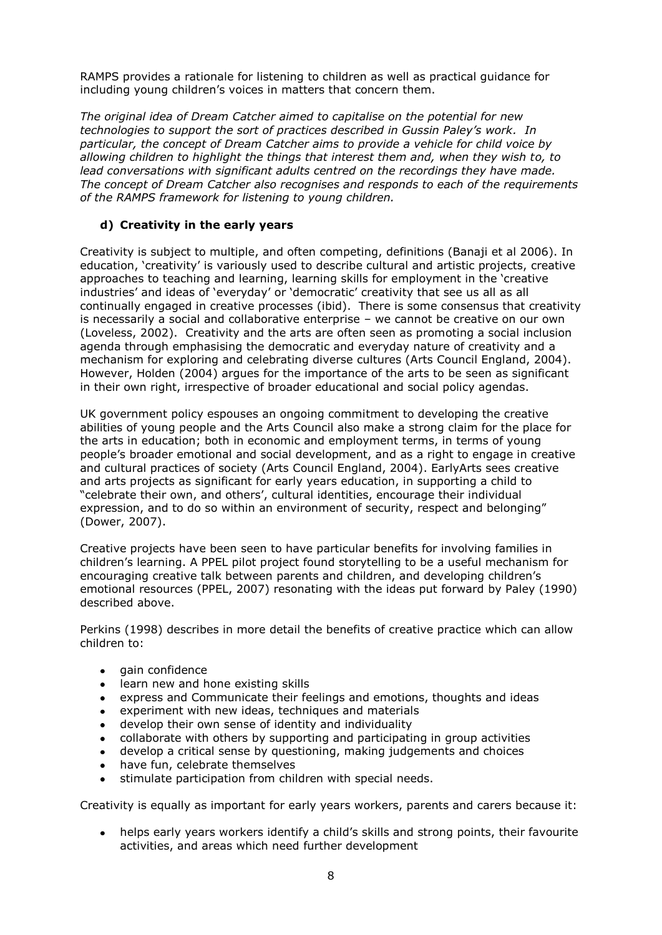RAMPS provides a rationale for listening to children as well as practical guidance for including young children's voices in matters that concern them.

*The original idea of Dream Catcher aimed to capitalise on the potential for new technologies to support the sort of practices described in Gussin Paley's work. In particular, the concept of Dream Catcher aims to provide a vehicle for child voice by allowing children to highlight the things that interest them and, when they wish to, to lead conversations with significant adults centred on the recordings they have made. The concept of Dream Catcher also recognises and responds to each of the requirements of the RAMPS framework for listening to young children.*

#### **d) Creativity in the early years**

Creativity is subject to multiple, and often competing, definitions (Banaji et al 2006). In education, "creativity" is variously used to describe cultural and artistic projects, creative approaches to teaching and learning, learning skills for employment in the "creative industries' and ideas of 'everyday' or 'democratic' creativity that see us all as all continually engaged in creative processes (ibid). There is some consensus that creativity is necessarily a social and collaborative enterprise – we cannot be creative on our own (Loveless, 2002). Creativity and the arts are often seen as promoting a social inclusion agenda through emphasising the democratic and everyday nature of creativity and a mechanism for exploring and celebrating diverse cultures (Arts Council England, 2004). However, Holden (2004) argues for the importance of the arts to be seen as significant in their own right, irrespective of broader educational and social policy agendas.

UK government policy espouses an ongoing commitment to developing the creative abilities of young people and the Arts Council also make a strong claim for the place for the arts in education; both in economic and employment terms, in terms of young people"s broader emotional and social development, and as a right to engage in creative and cultural practices of society (Arts Council England, 2004). EarlyArts sees creative and arts projects as significant for early years education, in supporting a child to "celebrate their own, and others', cultural identities, encourage their individual expression, and to do so within an environment of security, respect and belonging" (Dower, 2007).

Creative projects have been seen to have particular benefits for involving families in children"s learning. A PPEL pilot project found storytelling to be a useful mechanism for encouraging creative talk between parents and children, and developing children"s emotional resources (PPEL, 2007) resonating with the ideas put forward by Paley (1990) described above.

Perkins (1998) describes in more detail the benefits of creative practice which can allow children to:

- gain confidence  $\bullet$
- $\bullet$ learn new and hone existing skills
- express and Communicate their feelings and emotions, thoughts and ideas
- experiment with new ideas, techniques and materials  $\bullet$
- develop their own sense of identity and individuality  $\bullet$
- collaborate with others by supporting and participating in group activities  $\bullet$
- develop a critical sense by questioning, making judgements and choices  $\bullet$
- have fun, celebrate themselves  $\bullet$
- $\bullet$ stimulate participation from children with special needs.

Creativity is equally as important for early years workers, parents and carers because it:

helps early years workers identify a child"s skills and strong points, their favourite  $\bullet$ activities, and areas which need further development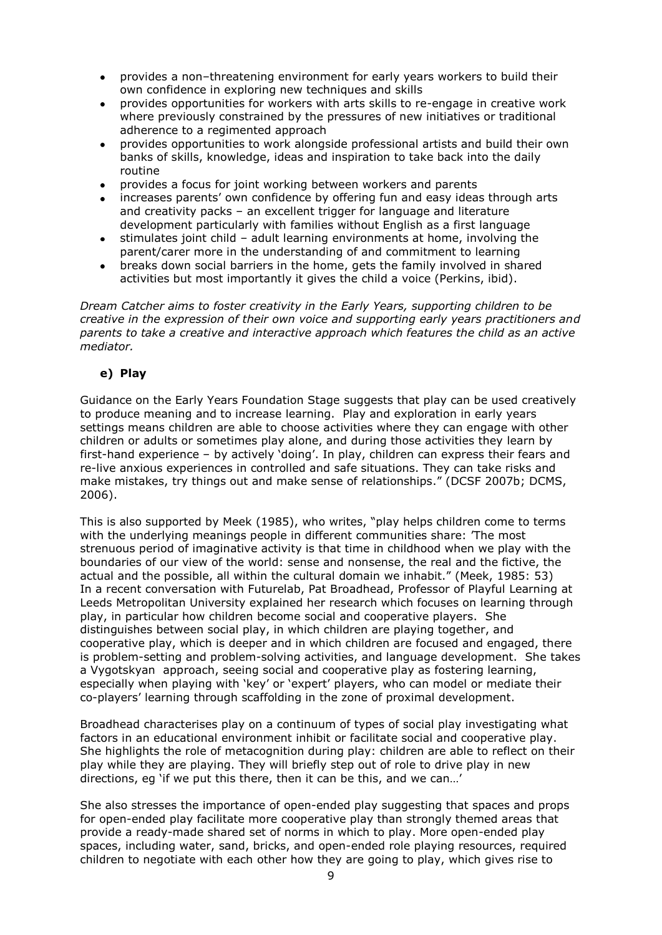- provides a non–threatening environment for early years workers to build their  $\bullet$ own confidence in exploring new techniques and skills
- provides opportunities for workers with arts skills to re-engage in creative work  $\bullet$ where previously constrained by the pressures of new initiatives or traditional adherence to a regimented approach
- provides opportunities to work alongside professional artists and build their own  $\bullet$ banks of skills, knowledge, ideas and inspiration to take back into the daily routine
- provides a focus for joint working between workers and parents
- increases parents' own confidence by offering fun and easy ideas through arts and creativity packs – an excellent trigger for language and literature development particularly with families without English as a first language
- stimulates joint child adult learning environments at home, involving the  $\bullet$ parent/carer more in the understanding of and commitment to learning
- breaks down social barriers in the home, gets the family involved in shared  $\bullet$ activities but most importantly it gives the child a voice (Perkins, ibid).

*Dream Catcher aims to foster creativity in the Early Years, supporting children to be creative in the expression of their own voice and supporting early years practitioners and parents to take a creative and interactive approach which features the child as an active mediator.*

## **e) Play**

Guidance on the Early Years Foundation Stage suggests that play can be used creatively to produce meaning and to increase learning. Play and exploration in early years settings means children are able to choose activities where they can engage with other children or adults or sometimes play alone, and during those activities they learn by first-hand experience – by actively "doing". In play, children can express their fears and re-live anxious experiences in controlled and safe situations. They can take risks and make mistakes, try things out and make sense of relationships." (DCSF 2007b; DCMS, 2006).

This is also supported by Meek (1985), who writes, "play helps children come to terms with the underlying meanings people in different communities share: "The most strenuous period of imaginative activity is that time in childhood when we play with the boundaries of our view of the world: sense and nonsense, the real and the fictive, the actual and the possible, all within the cultural domain we inhabit." (Meek, 1985: 53) In a recent conversation with Futurelab, Pat Broadhead, Professor of Playful Learning at Leeds Metropolitan University explained her research which focuses on learning through play, in particular how children become social and cooperative players. She distinguishes between social play, in which children are playing together, and cooperative play, which is deeper and in which children are focused and engaged, there is problem-setting and problem-solving activities, and language development. She takes a Vygotskyan approach, seeing social and cooperative play as fostering learning, especially when playing with "key" or "expert" players, who can model or mediate their co-players" learning through scaffolding in the zone of proximal development.

Broadhead characterises play on a continuum of types of social play investigating what factors in an educational environment inhibit or facilitate social and cooperative play. She highlights the role of metacognition during play: children are able to reflect on their play while they are playing. They will briefly step out of role to drive play in new directions, eg 'if we put this there, then it can be this, and we can...'

She also stresses the importance of open-ended play suggesting that spaces and props for open-ended play facilitate more cooperative play than strongly themed areas that provide a ready-made shared set of norms in which to play. More open-ended play spaces, including water, sand, bricks, and open-ended role playing resources, required children to negotiate with each other how they are going to play, which gives rise to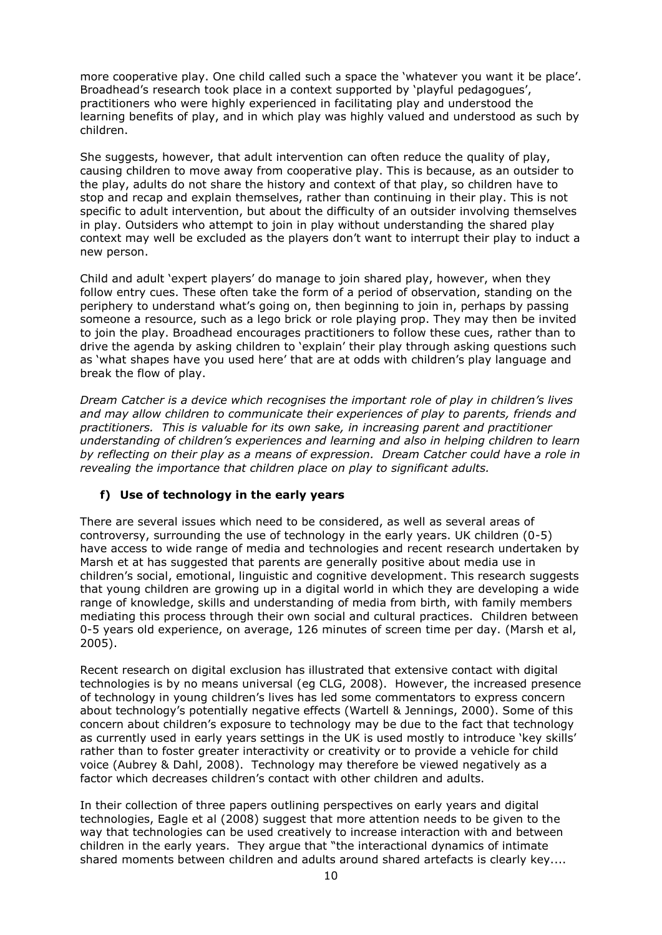more cooperative play. One child called such a space the "whatever you want it be place". Broadhead's research took place in a context supported by 'playful pedagogues', practitioners who were highly experienced in facilitating play and understood the learning benefits of play, and in which play was highly valued and understood as such by children.

She suggests, however, that adult intervention can often reduce the quality of play, causing children to move away from cooperative play. This is because, as an outsider to the play, adults do not share the history and context of that play, so children have to stop and recap and explain themselves, rather than continuing in their play. This is not specific to adult intervention, but about the difficulty of an outsider involving themselves in play. Outsiders who attempt to join in play without understanding the shared play context may well be excluded as the players don"t want to interrupt their play to induct a new person.

Child and adult "expert players" do manage to join shared play, however, when they follow entry cues. These often take the form of a period of observation, standing on the periphery to understand what"s going on, then beginning to join in, perhaps by passing someone a resource, such as a lego brick or role playing prop. They may then be invited to join the play. Broadhead encourages practitioners to follow these cues, rather than to drive the agenda by asking children to "explain" their play through asking questions such as "what shapes have you used here" that are at odds with children"s play language and break the flow of play.

*Dream Catcher is a device which recognises the important role of play in children's lives and may allow children to communicate their experiences of play to parents, friends and practitioners. This is valuable for its own sake, in increasing parent and practitioner understanding of children's experiences and learning and also in helping children to learn by reflecting on their play as a means of expression. Dream Catcher could have a role in revealing the importance that children place on play to significant adults.* 

# **f) Use of technology in the early years**

There are several issues which need to be considered, as well as several areas of controversy, surrounding the use of technology in the early years. UK children (0-5) have access to wide range of media and technologies and recent research undertaken by Marsh et at has suggested that parents are generally positive about media use in children"s social, emotional, linguistic and cognitive development. This research suggests that young children are growing up in a digital world in which they are developing a wide range of knowledge, skills and understanding of media from birth, with family members mediating this process through their own social and cultural practices. Children between 0-5 years old experience, on average, 126 minutes of screen time per day. (Marsh et al, 2005).

Recent research on digital exclusion has illustrated that extensive contact with digital technologies is by no means universal (eg CLG, 2008). However, the increased presence of technology in young children"s lives has led some commentators to express concern about technology"s potentially negative effects (Wartell & Jennings, 2000). Some of this concern about children"s exposure to technology may be due to the fact that technology as currently used in early years settings in the UK is used mostly to introduce "key skills" rather than to foster greater interactivity or creativity or to provide a vehicle for child voice (Aubrey & Dahl, 2008). Technology may therefore be viewed negatively as a factor which decreases children"s contact with other children and adults.

In their collection of three papers outlining perspectives on early years and digital technologies, Eagle et al (2008) suggest that more attention needs to be given to the way that technologies can be used creatively to increase interaction with and between children in the early years. They argue that "the interactional dynamics of intimate shared moments between children and adults around shared artefacts is clearly key....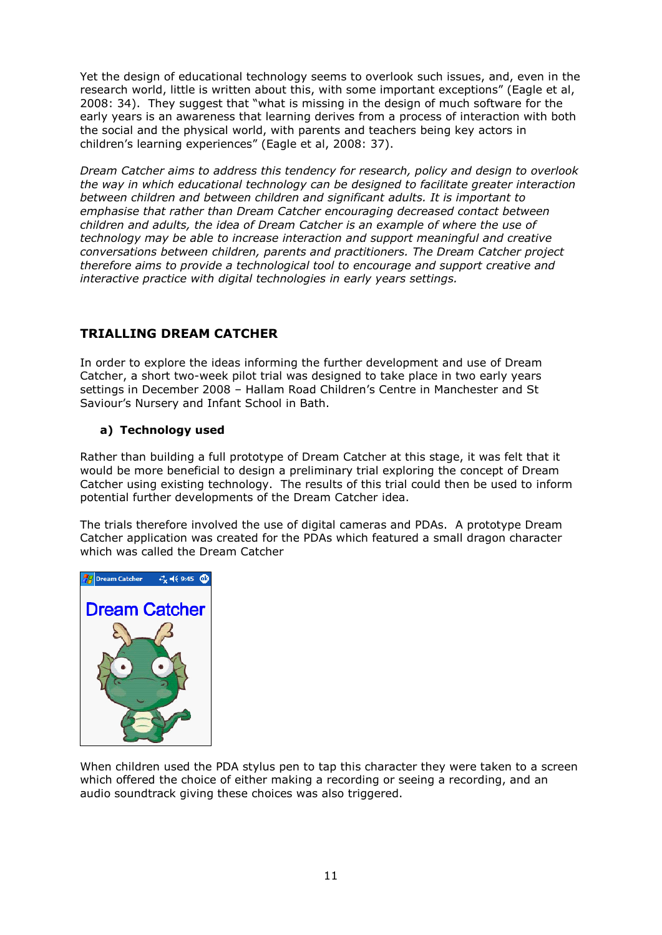Yet the design of educational technology seems to overlook such issues, and, even in the research world, little is written about this, with some important exceptions" (Eagle et al, 2008: 34). They suggest that "what is missing in the design of much software for the early years is an awareness that learning derives from a process of interaction with both the social and the physical world, with parents and teachers being key actors in children's learning experiences" (Eagle et al, 2008: 37).

*Dream Catcher aims to address this tendency for research, policy and design to overlook the way in which educational technology can be designed to facilitate greater interaction between children and between children and significant adults. It is important to emphasise that rather than Dream Catcher encouraging decreased contact between children and adults, the idea of Dream Catcher is an example of where the use of technology may be able to increase interaction and support meaningful and creative conversations between children, parents and practitioners. The Dream Catcher project therefore aims to provide a technological tool to encourage and support creative and interactive practice with digital technologies in early years settings.*

# **TRIALLING DREAM CATCHER**

In order to explore the ideas informing the further development and use of Dream Catcher, a short two-week pilot trial was designed to take place in two early years settings in December 2008 – Hallam Road Children"s Centre in Manchester and St Saviour"s Nursery and Infant School in Bath.

## **a) Technology used**

Rather than building a full prototype of Dream Catcher at this stage, it was felt that it would be more beneficial to design a preliminary trial exploring the concept of Dream Catcher using existing technology. The results of this trial could then be used to inform potential further developments of the Dream Catcher idea.

The trials therefore involved the use of digital cameras and PDAs. A prototype Dream Catcher application was created for the PDAs which featured a small dragon character which was called the Dream Catcher



When children used the PDA stylus pen to tap this character they were taken to a screen which offered the choice of either making a recording or seeing a recording, and an audio soundtrack giving these choices was also triggered.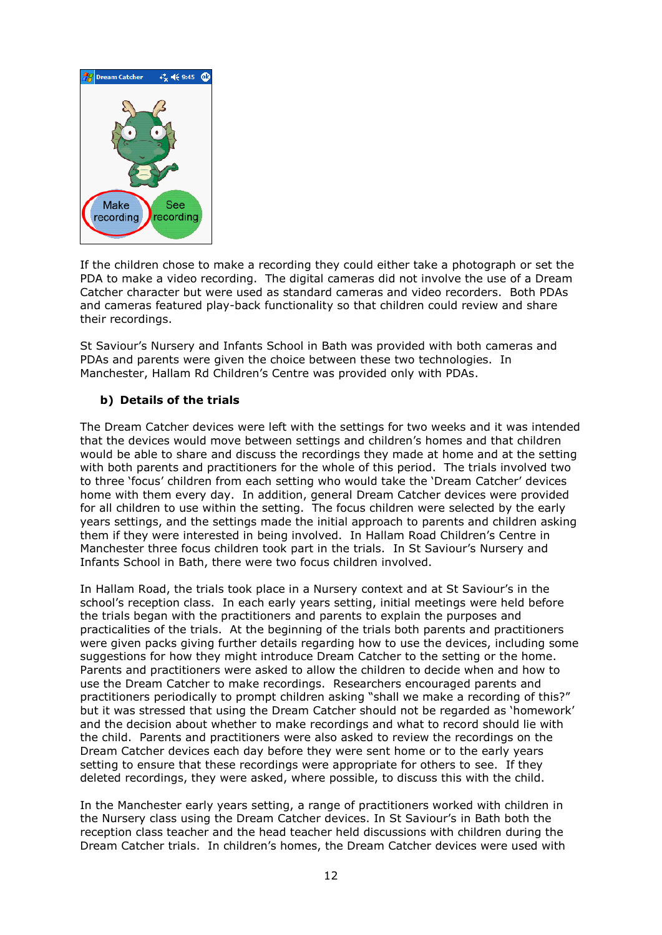

If the children chose to make a recording they could either take a photograph or set the PDA to make a video recording. The digital cameras did not involve the use of a Dream Catcher character but were used as standard cameras and video recorders. Both PDAs and cameras featured play-back functionality so that children could review and share their recordings.

St Saviour"s Nursery and Infants School in Bath was provided with both cameras and PDAs and parents were given the choice between these two technologies. In Manchester, Hallam Rd Children"s Centre was provided only with PDAs.

## **b) Details of the trials**

The Dream Catcher devices were left with the settings for two weeks and it was intended that the devices would move between settings and children"s homes and that children would be able to share and discuss the recordings they made at home and at the setting with both parents and practitioners for the whole of this period. The trials involved two to three "focus" children from each setting who would take the "Dream Catcher" devices home with them every day. In addition, general Dream Catcher devices were provided for all children to use within the setting. The focus children were selected by the early years settings, and the settings made the initial approach to parents and children asking them if they were interested in being involved. In Hallam Road Children's Centre in Manchester three focus children took part in the trials. In St Saviour"s Nursery and Infants School in Bath, there were two focus children involved.

In Hallam Road, the trials took place in a Nursery context and at St Saviour"s in the school's reception class. In each early years setting, initial meetings were held before the trials began with the practitioners and parents to explain the purposes and practicalities of the trials. At the beginning of the trials both parents and practitioners were given packs giving further details regarding how to use the devices, including some suggestions for how they might introduce Dream Catcher to the setting or the home. Parents and practitioners were asked to allow the children to decide when and how to use the Dream Catcher to make recordings. Researchers encouraged parents and practitioners periodically to prompt children asking "shall we make a recording of this?" but it was stressed that using the Dream Catcher should not be regarded as "homework" and the decision about whether to make recordings and what to record should lie with the child. Parents and practitioners were also asked to review the recordings on the Dream Catcher devices each day before they were sent home or to the early years setting to ensure that these recordings were appropriate for others to see. If they deleted recordings, they were asked, where possible, to discuss this with the child.

In the Manchester early years setting, a range of practitioners worked with children in the Nursery class using the Dream Catcher devices. In St Saviour"s in Bath both the reception class teacher and the head teacher held discussions with children during the Dream Catcher trials. In children's homes, the Dream Catcher devices were used with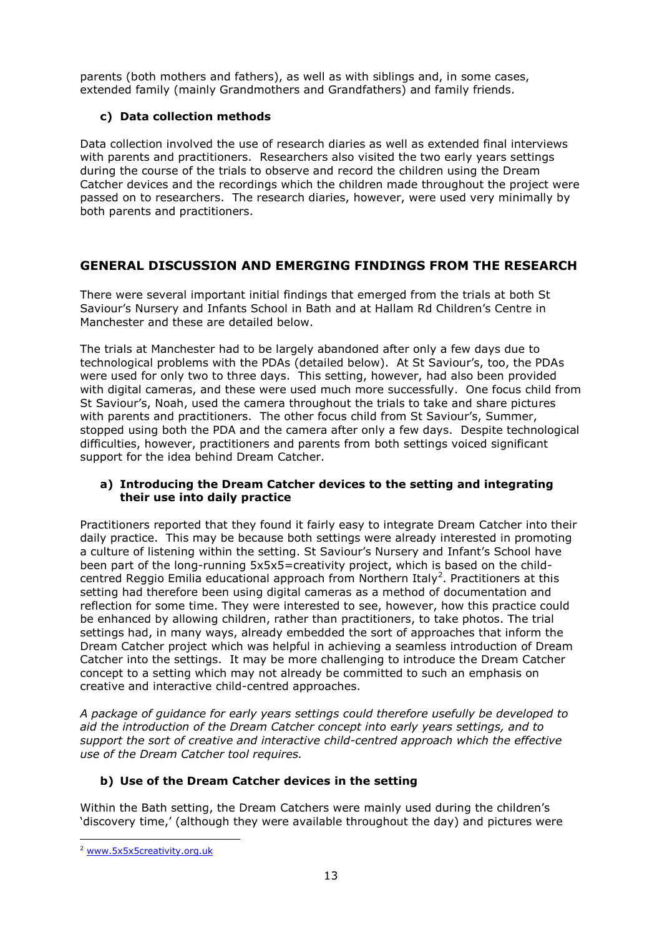parents (both mothers and fathers), as well as with siblings and, in some cases, extended family (mainly Grandmothers and Grandfathers) and family friends.

## **c) Data collection methods**

Data collection involved the use of research diaries as well as extended final interviews with parents and practitioners. Researchers also visited the two early years settings during the course of the trials to observe and record the children using the Dream Catcher devices and the recordings which the children made throughout the project were passed on to researchers. The research diaries, however, were used very minimally by both parents and practitioners.

# **GENERAL DISCUSSION AND EMERGING FINDINGS FROM THE RESEARCH**

There were several important initial findings that emerged from the trials at both St Saviour"s Nursery and Infants School in Bath and at Hallam Rd Children"s Centre in Manchester and these are detailed below.

The trials at Manchester had to be largely abandoned after only a few days due to technological problems with the PDAs (detailed below). At St Saviour's, too, the PDAs were used for only two to three days. This setting, however, had also been provided with digital cameras, and these were used much more successfully. One focus child from St Saviour"s, Noah, used the camera throughout the trials to take and share pictures with parents and practitioners. The other focus child from St Saviour's, Summer, stopped using both the PDA and the camera after only a few days. Despite technological difficulties, however, practitioners and parents from both settings voiced significant support for the idea behind Dream Catcher.

## **a) Introducing the Dream Catcher devices to the setting and integrating their use into daily practice**

Practitioners reported that they found it fairly easy to integrate Dream Catcher into their daily practice. This may be because both settings were already interested in promoting a culture of listening within the setting. St Saviour"s Nursery and Infant"s School have been part of the long-running 5x5x5=creativity project, which is based on the childcentred Reggio Emilia educational approach from Northern Italy<sup>2</sup>. Practitioners at this setting had therefore been using digital cameras as a method of documentation and reflection for some time. They were interested to see, however, how this practice could be enhanced by allowing children, rather than practitioners, to take photos. The trial settings had, in many ways, already embedded the sort of approaches that inform the Dream Catcher project which was helpful in achieving a seamless introduction of Dream Catcher into the settings. It may be more challenging to introduce the Dream Catcher concept to a setting which may not already be committed to such an emphasis on creative and interactive child-centred approaches.

*A package of guidance for early years settings could therefore usefully be developed to aid the introduction of the Dream Catcher concept into early years settings, and to support the sort of creative and interactive child-centred approach which the effective use of the Dream Catcher tool requires.* 

## **b) Use of the Dream Catcher devices in the setting**

Within the Bath setting, the Dream Catchers were mainly used during the children"s "discovery time," (although they were available throughout the day) and pictures were

<sup>-</sup><sup>2</sup> [www.5x5x5creativity.org.uk](http://www.5x5x5creativity.org.uk/)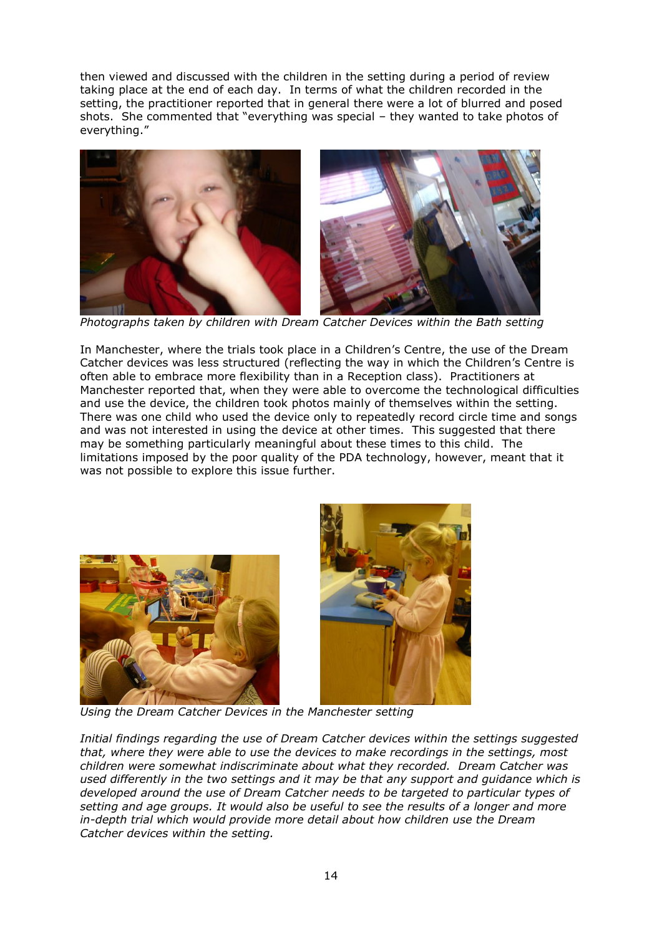then viewed and discussed with the children in the setting during a period of review taking place at the end of each day. In terms of what the children recorded in the setting, the practitioner reported that in general there were a lot of blurred and posed shots. She commented that "everything was special – they wanted to take photos of everything."



*Photographs taken by children with Dream Catcher Devices within the Bath setting*

In Manchester, where the trials took place in a Children's Centre, the use of the Dream Catcher devices was less structured (reflecting the way in which the Children"s Centre is often able to embrace more flexibility than in a Reception class). Practitioners at Manchester reported that, when they were able to overcome the technological difficulties and use the device, the children took photos mainly of themselves within the setting. There was one child who used the device only to repeatedly record circle time and songs and was not interested in using the device at other times. This suggested that there may be something particularly meaningful about these times to this child. The limitations imposed by the poor quality of the PDA technology, however, meant that it was not possible to explore this issue further.





*Using the Dream Catcher Devices in the Manchester setting*

*Initial findings regarding the use of Dream Catcher devices within the settings suggested that, where they were able to use the devices to make recordings in the settings, most children were somewhat indiscriminate about what they recorded. Dream Catcher was used differently in the two settings and it may be that any support and guidance which is developed around the use of Dream Catcher needs to be targeted to particular types of setting and age groups. It would also be useful to see the results of a longer and more in-depth trial which would provide more detail about how children use the Dream Catcher devices within the setting.*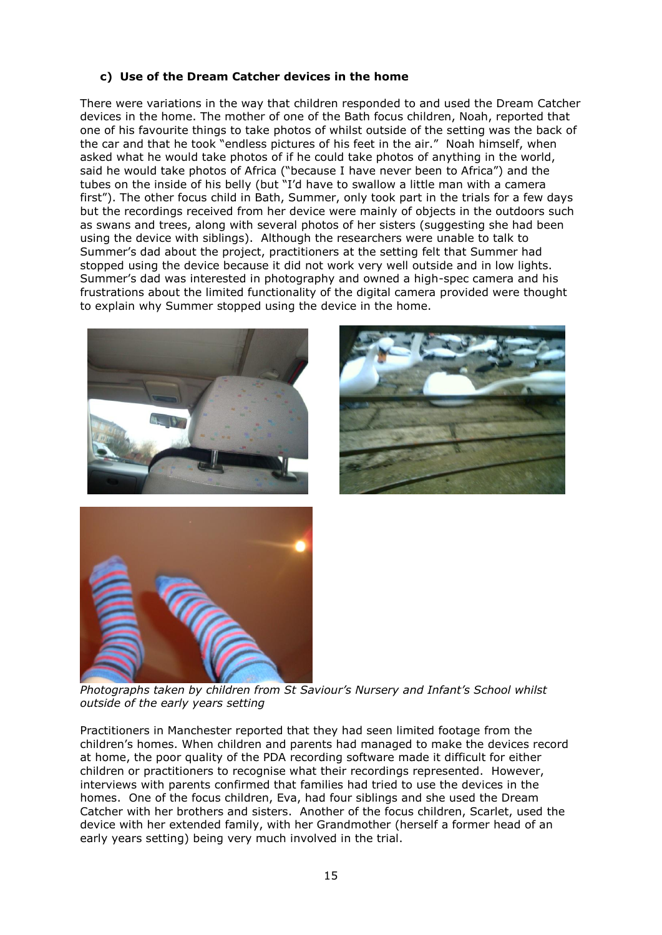## **c) Use of the Dream Catcher devices in the home**

There were variations in the way that children responded to and used the Dream Catcher devices in the home. The mother of one of the Bath focus children, Noah, reported that one of his favourite things to take photos of whilst outside of the setting was the back of the car and that he took "endless pictures of his feet in the air." Noah himself, when asked what he would take photos of if he could take photos of anything in the world, said he would take photos of Africa ("because I have never been to Africa") and the tubes on the inside of his belly (but "I"d have to swallow a little man with a camera first"). The other focus child in Bath, Summer, only took part in the trials for a few days but the recordings received from her device were mainly of objects in the outdoors such as swans and trees, along with several photos of her sisters (suggesting she had been using the device with siblings). Although the researchers were unable to talk to Summer"s dad about the project, practitioners at the setting felt that Summer had stopped using the device because it did not work very well outside and in low lights. Summer"s dad was interested in photography and owned a high-spec camera and his frustrations about the limited functionality of the digital camera provided were thought to explain why Summer stopped using the device in the home.







*Photographs taken by children from St Saviour's Nursery and Infant's School whilst outside of the early years setting*

Practitioners in Manchester reported that they had seen limited footage from the children"s homes. When children and parents had managed to make the devices record at home, the poor quality of the PDA recording software made it difficult for either children or practitioners to recognise what their recordings represented. However, interviews with parents confirmed that families had tried to use the devices in the homes. One of the focus children, Eva, had four siblings and she used the Dream Catcher with her brothers and sisters. Another of the focus children, Scarlet, used the device with her extended family, with her Grandmother (herself a former head of an early years setting) being very much involved in the trial.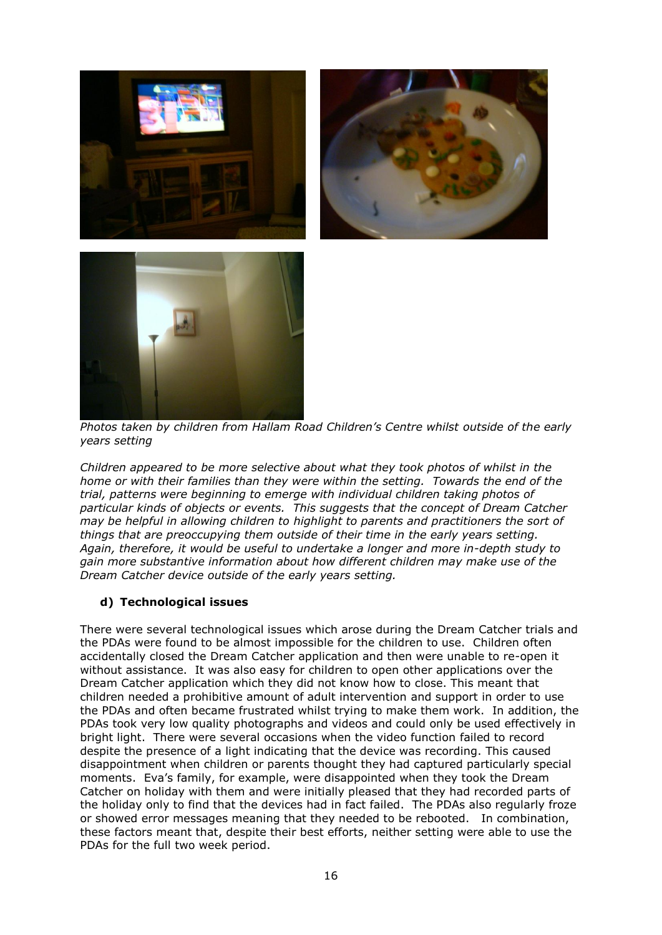





*Photos taken by children from Hallam Road Children's Centre whilst outside of the early years setting*

*Children appeared to be more selective about what they took photos of whilst in the home or with their families than they were within the setting. Towards the end of the trial, patterns were beginning to emerge with individual children taking photos of particular kinds of objects or events. This suggests that the concept of Dream Catcher may be helpful in allowing children to highlight to parents and practitioners the sort of things that are preoccupying them outside of their time in the early years setting. Again, therefore, it would be useful to undertake a longer and more in-depth study to gain more substantive information about how different children may make use of the Dream Catcher device outside of the early years setting.*

## **d) Technological issues**

There were several technological issues which arose during the Dream Catcher trials and the PDAs were found to be almost impossible for the children to use. Children often accidentally closed the Dream Catcher application and then were unable to re-open it without assistance. It was also easy for children to open other applications over the Dream Catcher application which they did not know how to close. This meant that children needed a prohibitive amount of adult intervention and support in order to use the PDAs and often became frustrated whilst trying to make them work. In addition, the PDAs took very low quality photographs and videos and could only be used effectively in bright light. There were several occasions when the video function failed to record despite the presence of a light indicating that the device was recording. This caused disappointment when children or parents thought they had captured particularly special moments. Eva"s family, for example, were disappointed when they took the Dream Catcher on holiday with them and were initially pleased that they had recorded parts of the holiday only to find that the devices had in fact failed. The PDAs also regularly froze or showed error messages meaning that they needed to be rebooted. In combination, these factors meant that, despite their best efforts, neither setting were able to use the PDAs for the full two week period.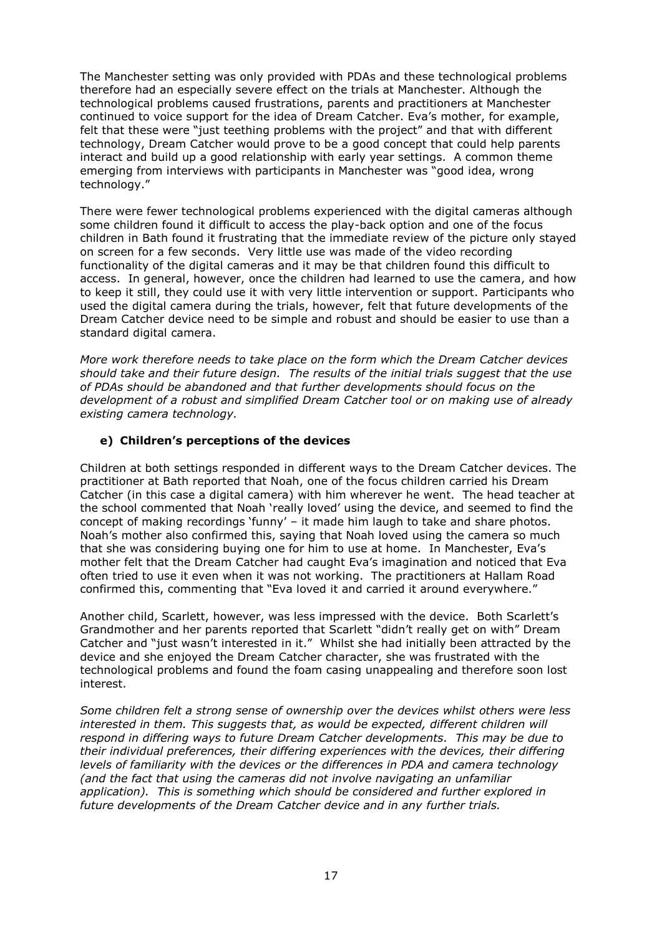The Manchester setting was only provided with PDAs and these technological problems therefore had an especially severe effect on the trials at Manchester. Although the technological problems caused frustrations, parents and practitioners at Manchester continued to voice support for the idea of Dream Catcher. Eva"s mother, for example, felt that these were "just teething problems with the project" and that with different technology, Dream Catcher would prove to be a good concept that could help parents interact and build up a good relationship with early year settings. A common theme emerging from interviews with participants in Manchester was "good idea, wrong technology."

There were fewer technological problems experienced with the digital cameras although some children found it difficult to access the play-back option and one of the focus children in Bath found it frustrating that the immediate review of the picture only stayed on screen for a few seconds. Very little use was made of the video recording functionality of the digital cameras and it may be that children found this difficult to access. In general, however, once the children had learned to use the camera, and how to keep it still, they could use it with very little intervention or support. Participants who used the digital camera during the trials, however, felt that future developments of the Dream Catcher device need to be simple and robust and should be easier to use than a standard digital camera.

*More work therefore needs to take place on the form which the Dream Catcher devices should take and their future design. The results of the initial trials suggest that the use of PDAs should be abandoned and that further developments should focus on the development of a robust and simplified Dream Catcher tool or on making use of already existing camera technology.*

## **e) Children"s perceptions of the devices**

Children at both settings responded in different ways to the Dream Catcher devices. The practitioner at Bath reported that Noah, one of the focus children carried his Dream Catcher (in this case a digital camera) with him wherever he went. The head teacher at the school commented that Noah "really loved" using the device, and seemed to find the concept of making recordings "funny" – it made him laugh to take and share photos. Noah"s mother also confirmed this, saying that Noah loved using the camera so much that she was considering buying one for him to use at home. In Manchester, Eva"s mother felt that the Dream Catcher had caught Eva"s imagination and noticed that Eva often tried to use it even when it was not working. The practitioners at Hallam Road confirmed this, commenting that "Eva loved it and carried it around everywhere."

Another child, Scarlett, however, was less impressed with the device. Both Scarlett"s Grandmother and her parents reported that Scarlett "didn"t really get on with" Dream Catcher and "just wasn't interested in it." Whilst she had initially been attracted by the device and she enjoyed the Dream Catcher character, she was frustrated with the technological problems and found the foam casing unappealing and therefore soon lost interest.

*Some children felt a strong sense of ownership over the devices whilst others were less interested in them. This suggests that, as would be expected, different children will respond in differing ways to future Dream Catcher developments. This may be due to their individual preferences, their differing experiences with the devices, their differing levels of familiarity with the devices or the differences in PDA and camera technology (and the fact that using the cameras did not involve navigating an unfamiliar application). This is something which should be considered and further explored in future developments of the Dream Catcher device and in any further trials.*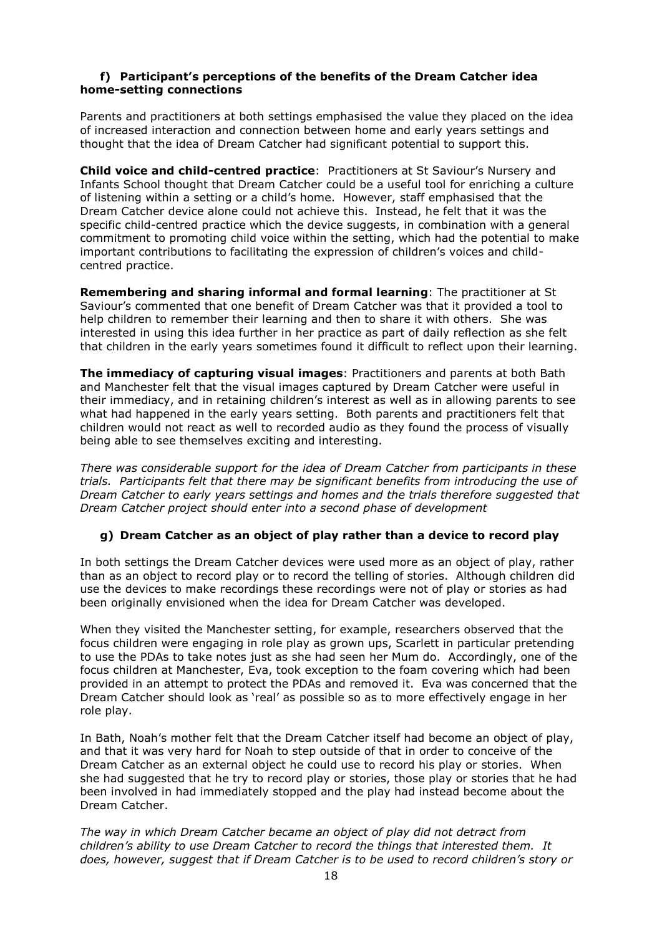#### **f) Participant"s perceptions of the benefits of the Dream Catcher idea home-setting connections**

Parents and practitioners at both settings emphasised the value they placed on the idea of increased interaction and connection between home and early years settings and thought that the idea of Dream Catcher had significant potential to support this.

**Child voice and child-centred practice**: Practitioners at St Saviour"s Nursery and Infants School thought that Dream Catcher could be a useful tool for enriching a culture of listening within a setting or a child"s home. However, staff emphasised that the Dream Catcher device alone could not achieve this. Instead, he felt that it was the specific child-centred practice which the device suggests, in combination with a general commitment to promoting child voice within the setting, which had the potential to make important contributions to facilitating the expression of children"s voices and childcentred practice.

**Remembering and sharing informal and formal learning**: The practitioner at St Saviour"s commented that one benefit of Dream Catcher was that it provided a tool to help children to remember their learning and then to share it with others. She was interested in using this idea further in her practice as part of daily reflection as she felt that children in the early years sometimes found it difficult to reflect upon their learning.

**The immediacy of capturing visual images**: Practitioners and parents at both Bath and Manchester felt that the visual images captured by Dream Catcher were useful in their immediacy, and in retaining children"s interest as well as in allowing parents to see what had happened in the early years setting. Both parents and practitioners felt that children would not react as well to recorded audio as they found the process of visually being able to see themselves exciting and interesting.

*There was considerable support for the idea of Dream Catcher from participants in these trials. Participants felt that there may be significant benefits from introducing the use of Dream Catcher to early years settings and homes and the trials therefore suggested that Dream Catcher project should enter into a second phase of development*

## **g) Dream Catcher as an object of play rather than a device to record play**

In both settings the Dream Catcher devices were used more as an object of play, rather than as an object to record play or to record the telling of stories. Although children did use the devices to make recordings these recordings were not of play or stories as had been originally envisioned when the idea for Dream Catcher was developed.

When they visited the Manchester setting, for example, researchers observed that the focus children were engaging in role play as grown ups, Scarlett in particular pretending to use the PDAs to take notes just as she had seen her Mum do. Accordingly, one of the focus children at Manchester, Eva, took exception to the foam covering which had been provided in an attempt to protect the PDAs and removed it. Eva was concerned that the Dream Catcher should look as "real" as possible so as to more effectively engage in her role play.

In Bath, Noah"s mother felt that the Dream Catcher itself had become an object of play, and that it was very hard for Noah to step outside of that in order to conceive of the Dream Catcher as an external object he could use to record his play or stories. When she had suggested that he try to record play or stories, those play or stories that he had been involved in had immediately stopped and the play had instead become about the Dream Catcher.

*The way in which Dream Catcher became an object of play did not detract from children's ability to use Dream Catcher to record the things that interested them. It does, however, suggest that if Dream Catcher is to be used to record children's story or*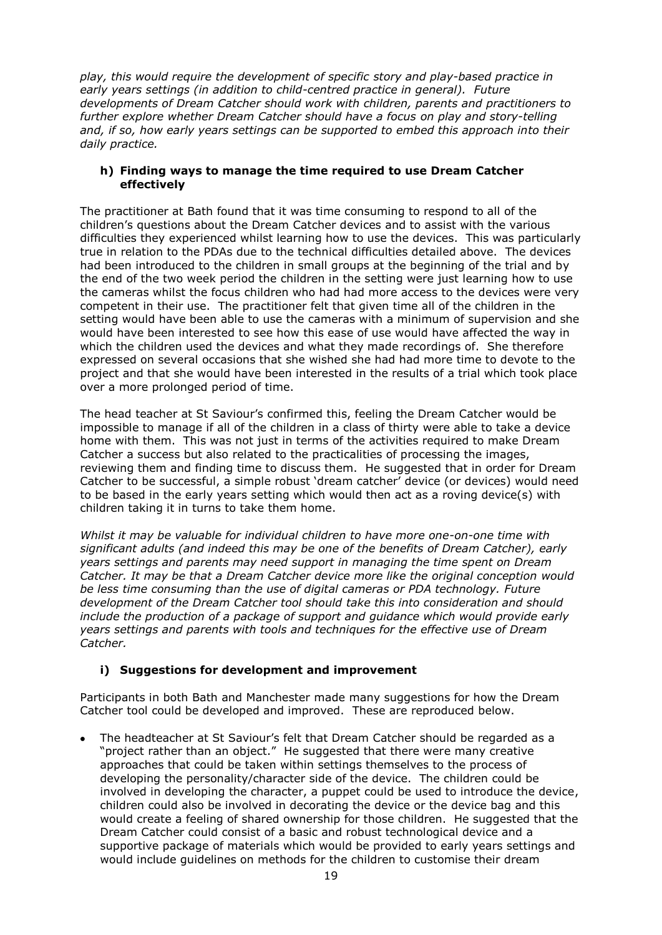*play, this would require the development of specific story and play-based practice in early years settings (in addition to child-centred practice in general). Future developments of Dream Catcher should work with children, parents and practitioners to further explore whether Dream Catcher should have a focus on play and story-telling and, if so, how early years settings can be supported to embed this approach into their daily practice.*

#### **h) Finding ways to manage the time required to use Dream Catcher effectively**

The practitioner at Bath found that it was time consuming to respond to all of the children"s questions about the Dream Catcher devices and to assist with the various difficulties they experienced whilst learning how to use the devices. This was particularly true in relation to the PDAs due to the technical difficulties detailed above. The devices had been introduced to the children in small groups at the beginning of the trial and by the end of the two week period the children in the setting were just learning how to use the cameras whilst the focus children who had had more access to the devices were very competent in their use. The practitioner felt that given time all of the children in the setting would have been able to use the cameras with a minimum of supervision and she would have been interested to see how this ease of use would have affected the way in which the children used the devices and what they made recordings of. She therefore expressed on several occasions that she wished she had had more time to devote to the project and that she would have been interested in the results of a trial which took place over a more prolonged period of time.

The head teacher at St Saviour"s confirmed this, feeling the Dream Catcher would be impossible to manage if all of the children in a class of thirty were able to take a device home with them. This was not just in terms of the activities required to make Dream Catcher a success but also related to the practicalities of processing the images, reviewing them and finding time to discuss them. He suggested that in order for Dream Catcher to be successful, a simple robust "dream catcher" device (or devices) would need to be based in the early years setting which would then act as a roving device(s) with children taking it in turns to take them home.

*Whilst it may be valuable for individual children to have more one-on-one time with significant adults (and indeed this may be one of the benefits of Dream Catcher), early years settings and parents may need support in managing the time spent on Dream Catcher. It may be that a Dream Catcher device more like the original conception would be less time consuming than the use of digital cameras or PDA technology. Future development of the Dream Catcher tool should take this into consideration and should include the production of a package of support and guidance which would provide early years settings and parents with tools and techniques for the effective use of Dream Catcher.*

## **i) Suggestions for development and improvement**

Participants in both Bath and Manchester made many suggestions for how the Dream Catcher tool could be developed and improved. These are reproduced below.

The headteacher at St Saviour"s felt that Dream Catcher should be regarded as a "project rather than an object." He suggested that there were many creative approaches that could be taken within settings themselves to the process of developing the personality/character side of the device. The children could be involved in developing the character, a puppet could be used to introduce the device, children could also be involved in decorating the device or the device bag and this would create a feeling of shared ownership for those children. He suggested that the Dream Catcher could consist of a basic and robust technological device and a supportive package of materials which would be provided to early years settings and would include guidelines on methods for the children to customise their dream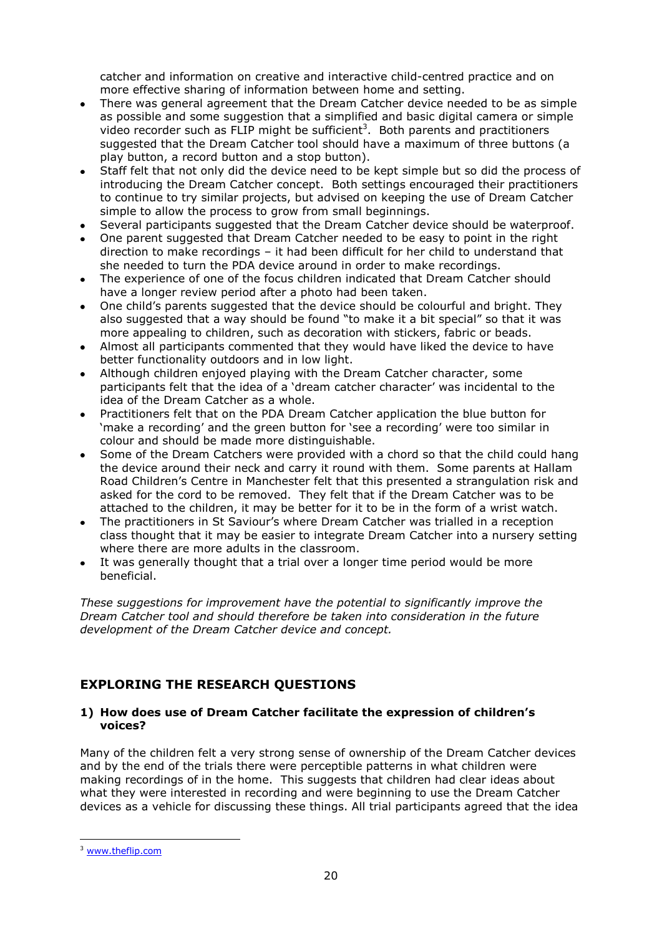catcher and information on creative and interactive child-centred practice and on more effective sharing of information between home and setting.

- There was general agreement that the Dream Catcher device needed to be as simple as possible and some suggestion that a simplified and basic digital camera or simple video recorder such as FLIP might be sufficient<sup>3</sup>. Both parents and practitioners suggested that the Dream Catcher tool should have a maximum of three buttons (a play button, a record button and a stop button).
- Staff felt that not only did the device need to be kept simple but so did the process of introducing the Dream Catcher concept. Both settings encouraged their practitioners to continue to try similar projects, but advised on keeping the use of Dream Catcher simple to allow the process to grow from small beginnings.
- Several participants suggested that the Dream Catcher device should be waterproof.
- One parent suggested that Dream Catcher needed to be easy to point in the right direction to make recordings – it had been difficult for her child to understand that she needed to turn the PDA device around in order to make recordings.
- The experience of one of the focus children indicated that Dream Catcher should have a longer review period after a photo had been taken.
- One child's parents suggested that the device should be colourful and bright. They also suggested that a way should be found "to make it a bit special" so that it was more appealing to children, such as decoration with stickers, fabric or beads.
- Almost all participants commented that they would have liked the device to have better functionality outdoors and in low light.
- Although children enjoyed playing with the Dream Catcher character, some participants felt that the idea of a "dream catcher character" was incidental to the idea of the Dream Catcher as a whole.
- Practitioners felt that on the PDA Dream Catcher application the blue button for "make a recording" and the green button for "see a recording" were too similar in colour and should be made more distinguishable.
- Some of the Dream Catchers were provided with a chord so that the child could hang the device around their neck and carry it round with them. Some parents at Hallam Road Children"s Centre in Manchester felt that this presented a strangulation risk and asked for the cord to be removed. They felt that if the Dream Catcher was to be attached to the children, it may be better for it to be in the form of a wrist watch.
- The practitioners in St Saviour"s where Dream Catcher was trialled in a reception class thought that it may be easier to integrate Dream Catcher into a nursery setting where there are more adults in the classroom.
- It was generally thought that a trial over a longer time period would be more beneficial.

*These suggestions for improvement have the potential to significantly improve the Dream Catcher tool and should therefore be taken into consideration in the future development of the Dream Catcher device and concept.*

# **EXPLORING THE RESEARCH QUESTIONS**

## **1) How does use of Dream Catcher facilitate the expression of children"s voices?**

Many of the children felt a very strong sense of ownership of the Dream Catcher devices and by the end of the trials there were perceptible patterns in what children were making recordings of in the home. This suggests that children had clear ideas about what they were interested in recording and were beginning to use the Dream Catcher devices as a vehicle for discussing these things. All trial participants agreed that the idea

<sup>-</sup><sup>3</sup> [www.theflip.com](http://www.theflip.com/)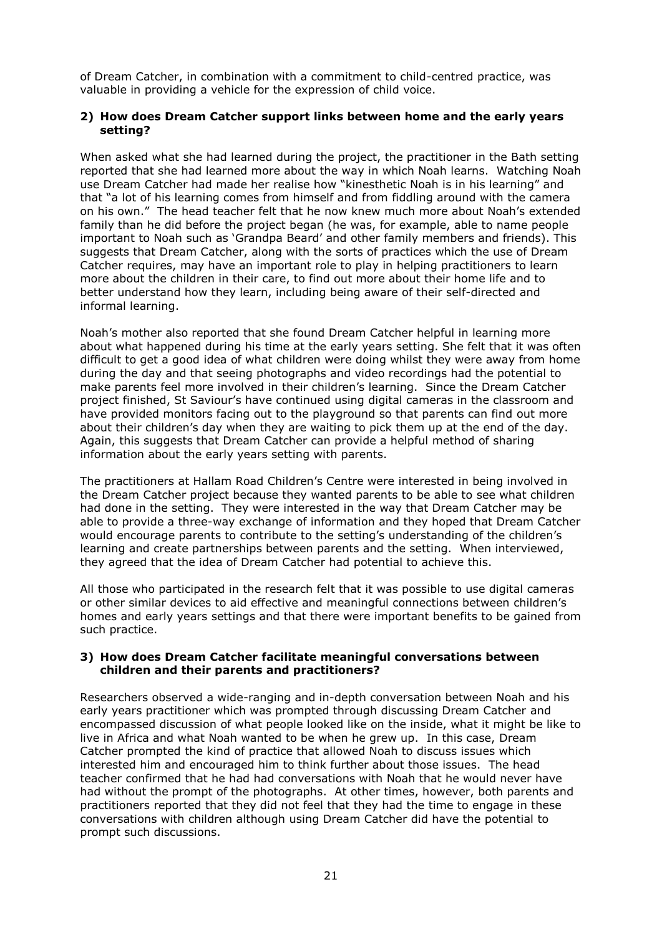of Dream Catcher, in combination with a commitment to child-centred practice, was valuable in providing a vehicle for the expression of child voice.

#### **2) How does Dream Catcher support links between home and the early years setting?**

When asked what she had learned during the project, the practitioner in the Bath setting reported that she had learned more about the way in which Noah learns. Watching Noah use Dream Catcher had made her realise how "kinesthetic Noah is in his learning" and that "a lot of his learning comes from himself and from fiddling around with the camera on his own." The head teacher felt that he now knew much more about Noah"s extended family than he did before the project began (he was, for example, able to name people important to Noah such as "Grandpa Beard" and other family members and friends). This suggests that Dream Catcher, along with the sorts of practices which the use of Dream Catcher requires, may have an important role to play in helping practitioners to learn more about the children in their care, to find out more about their home life and to better understand how they learn, including being aware of their self-directed and informal learning.

Noah"s mother also reported that she found Dream Catcher helpful in learning more about what happened during his time at the early years setting. She felt that it was often difficult to get a good idea of what children were doing whilst they were away from home during the day and that seeing photographs and video recordings had the potential to make parents feel more involved in their children"s learning. Since the Dream Catcher project finished, St Saviour"s have continued using digital cameras in the classroom and have provided monitors facing out to the playground so that parents can find out more about their children"s day when they are waiting to pick them up at the end of the day. Again, this suggests that Dream Catcher can provide a helpful method of sharing information about the early years setting with parents.

The practitioners at Hallam Road Children"s Centre were interested in being involved in the Dream Catcher project because they wanted parents to be able to see what children had done in the setting. They were interested in the way that Dream Catcher may be able to provide a three-way exchange of information and they hoped that Dream Catcher would encourage parents to contribute to the setting's understanding of the children's learning and create partnerships between parents and the setting. When interviewed, they agreed that the idea of Dream Catcher had potential to achieve this.

All those who participated in the research felt that it was possible to use digital cameras or other similar devices to aid effective and meaningful connections between children"s homes and early years settings and that there were important benefits to be gained from such practice.

#### **3) How does Dream Catcher facilitate meaningful conversations between children and their parents and practitioners?**

Researchers observed a wide-ranging and in-depth conversation between Noah and his early years practitioner which was prompted through discussing Dream Catcher and encompassed discussion of what people looked like on the inside, what it might be like to live in Africa and what Noah wanted to be when he grew up. In this case, Dream Catcher prompted the kind of practice that allowed Noah to discuss issues which interested him and encouraged him to think further about those issues. The head teacher confirmed that he had had conversations with Noah that he would never have had without the prompt of the photographs. At other times, however, both parents and practitioners reported that they did not feel that they had the time to engage in these conversations with children although using Dream Catcher did have the potential to prompt such discussions.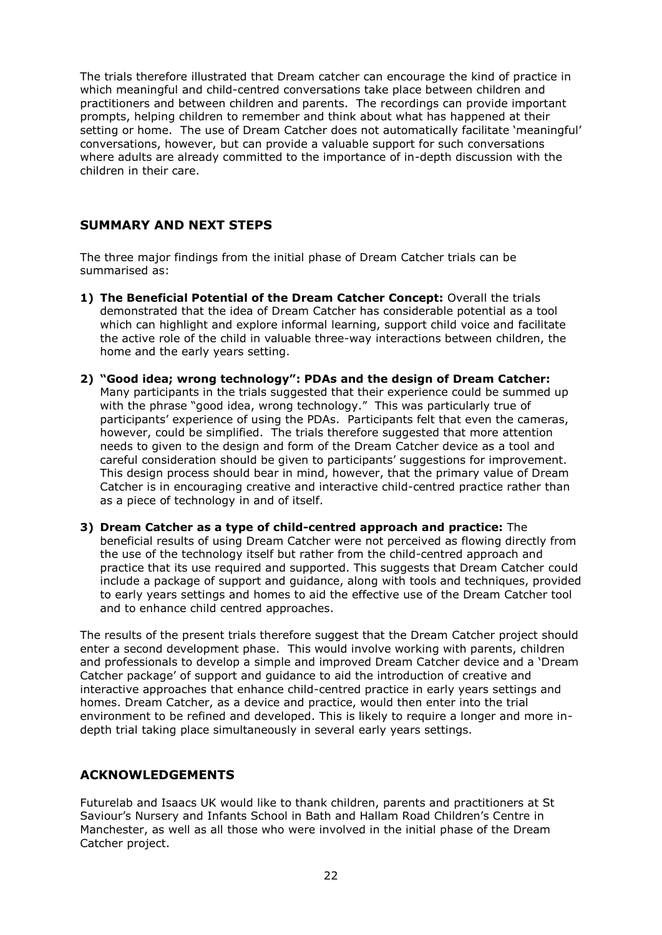The trials therefore illustrated that Dream catcher can encourage the kind of practice in which meaningful and child-centred conversations take place between children and practitioners and between children and parents. The recordings can provide important prompts, helping children to remember and think about what has happened at their setting or home. The use of Dream Catcher does not automatically facilitate 'meaningful' conversations, however, but can provide a valuable support for such conversations where adults are already committed to the importance of in-depth discussion with the children in their care.

# **SUMMARY AND NEXT STEPS**

The three major findings from the initial phase of Dream Catcher trials can be summarised as:

- **1) The Beneficial Potential of the Dream Catcher Concept:** Overall the trials demonstrated that the idea of Dream Catcher has considerable potential as a tool which can highlight and explore informal learning, support child voice and facilitate the active role of the child in valuable three-way interactions between children, the home and the early years setting.
- **2) "Good idea; wrong technology": PDAs and the design of Dream Catcher:**  Many participants in the trials suggested that their experience could be summed up with the phrase "good idea, wrong technology." This was particularly true of participants' experience of using the PDAs. Participants felt that even the cameras, however, could be simplified. The trials therefore suggested that more attention needs to given to the design and form of the Dream Catcher device as a tool and careful consideration should be given to participants" suggestions for improvement. This design process should bear in mind, however, that the primary value of Dream Catcher is in encouraging creative and interactive child-centred practice rather than as a piece of technology in and of itself.
- **3) Dream Catcher as a type of child-centred approach and practice:** The beneficial results of using Dream Catcher were not perceived as flowing directly from the use of the technology itself but rather from the child-centred approach and practice that its use required and supported. This suggests that Dream Catcher could include a package of support and guidance, along with tools and techniques, provided to early years settings and homes to aid the effective use of the Dream Catcher tool and to enhance child centred approaches.

The results of the present trials therefore suggest that the Dream Catcher project should enter a second development phase. This would involve working with parents, children and professionals to develop a simple and improved Dream Catcher device and a "Dream Catcher package" of support and guidance to aid the introduction of creative and interactive approaches that enhance child-centred practice in early years settings and homes. Dream Catcher, as a device and practice, would then enter into the trial environment to be refined and developed. This is likely to require a longer and more indepth trial taking place simultaneously in several early years settings.

# **ACKNOWLEDGEMENTS**

Futurelab and Isaacs UK would like to thank children, parents and practitioners at St Saviour"s Nursery and Infants School in Bath and Hallam Road Children"s Centre in Manchester, as well as all those who were involved in the initial phase of the Dream Catcher project.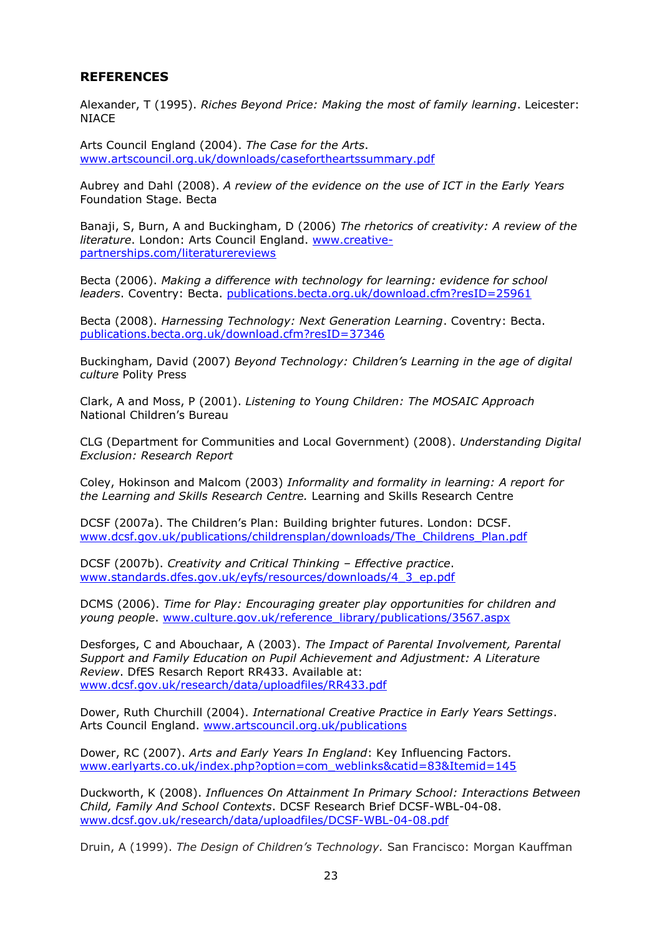## **REFERENCES**

Alexander, T (1995). *Riches Beyond Price: Making the most of family learning*. Leicester: **NIACE** 

Arts Council England (2004). *The Case for the Arts*. [www.artscouncil.org.uk/downloads/casefortheartssummary.pdf](http://www.artscouncil.org.uk/downloads/casefortheartssummary.pdf)

Aubrey and Dahl (2008). *A review of the evidence on the use of ICT in the Early Years* Foundation Stage. Becta

Banaji, S, Burn, A and Buckingham, D (2006) *The rhetorics of creativity: A review of the literature*. London: Arts Council England. [www.creative](http://www.creative-partnerships.com/literaturereviews)[partnerships.com/literaturereviews](http://www.creative-partnerships.com/literaturereviews)

Becta (2006). *Making a difference with technology for learning: evidence for school leaders*. Coventry: Becta. [publications.becta.org.uk/download.cfm?resID=25961](http://publications.becta.org.uk/download.cfm?resID=25961)

Becta (2008). *Harnessing Technology: Next Generation Learning*. Coventry: Becta. [publications.becta.org.uk/download.cfm?resID=37346](http://publications.becta.org.uk/download.cfm?resID=37346)

Buckingham, David (2007) *Beyond Technology: Children's Learning in the age of digital culture* Polity Press

Clark, A and Moss, P (2001). *Listening to Young Children: The MOSAIC Approach* National Children"s Bureau

CLG (Department for Communities and Local Government) (2008). *Understanding Digital Exclusion: Research Report*

Coley, Hokinson and Malcom (2003) *Informality and formality in learning: A report for the Learning and Skills Research Centre.* Learning and Skills Research Centre

DCSF (2007a). The Children"s Plan: Building brighter futures. London: DCSF. [www.dcsf.gov.uk/publications/childrensplan/downloads/The\\_Childrens\\_Plan.pdf](http://www.dcsf.gov.uk/publications/childrensplan/downloads/The_Childrens_Plan.pdf)

DCSF (2007b). *Creativity and Critical Thinking – Effective practice*. [www.standards.dfes.gov.uk/eyfs/resources/downloads/4\\_3\\_ep.pdf](http://www.standards.dfes.gov.uk/eyfs/resources/downloads/4_3_ep.pdf)

DCMS (2006). *Time for Play: Encouraging greater play opportunities for children and young people*. [www.culture.gov.uk/reference\\_library/publications/3567.aspx](http://www.culture.gov.uk/reference_library/publications/3567.aspx)

Desforges, C and Abouchaar, A (2003). *The Impact of Parental Involvement, Parental Support and Family Education on Pupil Achievement and Adjustment: A Literature Review*. DfES Resarch Report RR433. Available at: [www.dcsf.gov.uk/research/data/uploadfiles/RR433.pdf](http://www.dcsf.gov.uk/research/data/uploadfiles/RR433.pdf)

Dower, Ruth Churchill (2004). *International Creative Practice in Early Years Settings*. Arts Council England. [www.artscouncil.org.uk/publications](http://www.artscouncil.org.uk/publications)

Dower, RC (2007). *Arts and Early Years In England*: Key Influencing Factors. [www.earlyarts.co.uk/index.php?option=com\\_weblinks&catid=83&Itemid=145](http://www.earlyarts.co.uk/index.php?option=com_weblinks&catid=83&Itemid=145)

Duckworth, K (2008). *Influences On Attainment In Primary School: Interactions Between Child, Family And School Contexts*. DCSF Research Brief DCSF-WBL-04-08. [www.dcsf.gov.uk/research/data/uploadfiles/DCSF-WBL-04-08.pdf](http://www.dcsf.gov.uk/research/data/uploadfiles/DCSF-WBL-04-08.pdf)

Druin, A (1999). *The Design of Children's Technology.* San Francisco: Morgan Kauffman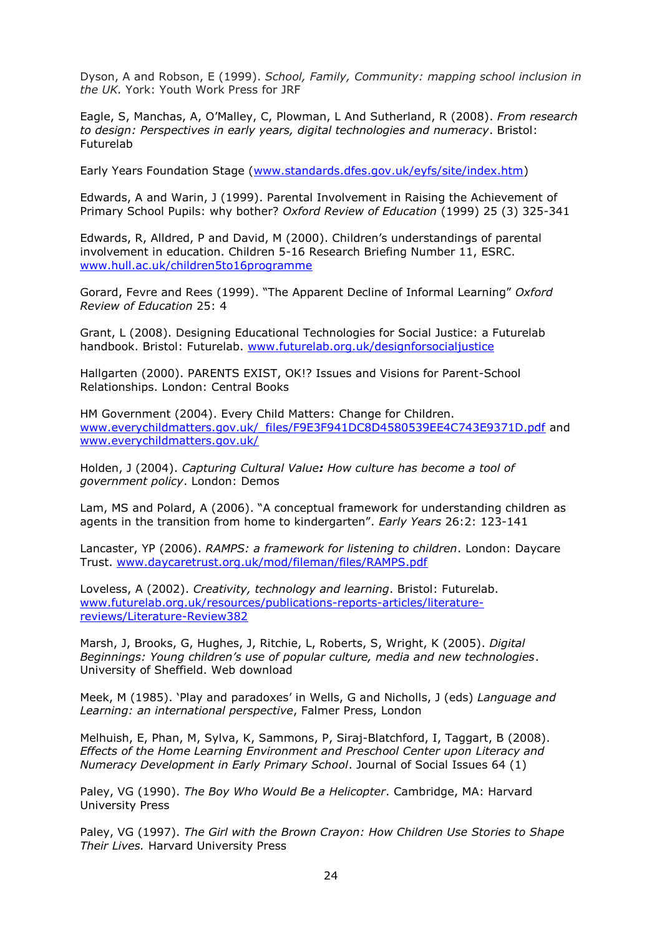Dyson, A and Robson, E (1999). *School, Family, Community: mapping school inclusion in the UK.* York: Youth Work Press for JRF

Eagle, S, Manchas, A, O"Malley, C, Plowman, L And Sutherland, R (2008). *From research to design: Perspectives in early years, digital technologies and numeracy*. Bristol: Futurelab

Early Years Foundation Stage [\(www.standards.dfes.gov.uk/eyfs/site/index.htm\)](http://www.standards.dfes.gov.uk/eyfs/site/index.htm)

Edwards, A and Warin, J (1999). Parental Involvement in Raising the Achievement of Primary School Pupils: why bother? *Oxford Review of Education* (1999) 25 (3) 325-341

Edwards, R, Alldred, P and David, M (2000). Children"s understandings of parental involvement in education. Children 5-16 Research Briefing Number 11, ESRC. [www.hull.ac.uk/children5to16programme](http://www.hull.ac.uk/children5to16programme)

Gorard, Fevre and Rees (1999). "The Apparent Decline of Informal Learning" *Oxford Review of Education* 25: 4

Grant, L (2008). Designing Educational Technologies for Social Justice: a Futurelab handbook. Bristol: Futurelab. [www.futurelab.org.uk/designforsocialjustice](http://www.futurelab.org.uk/designforsocialjustice)

Hallgarten (2000). PARENTS EXIST, OK!? Issues and Visions for Parent-School Relationships. London: Central Books

HM Government (2004). Every Child Matters: Change for Children. [www.everychildmatters.gov.uk/\\_files/F9E3F941DC8D4580539EE4C743E9371D.pdf](http://www.everychildmatters.gov.uk/_files/F9E3F941DC8D4580539EE4C743E9371D.pdf) and [www.everychildmatters.gov.uk/](http://www.everychildmatters.gov.uk/)

Holden, J (2004). *Capturing Cultural Value: How culture has become a tool of government policy*. London: Demos

Lam, MS and Polard, A (2006). "A conceptual framework for understanding children as agents in the transition from home to kindergarten". *Early Years* 26:2: 123-141

Lancaster, YP (2006). *RAMPS: a framework for listening to children*. London: Daycare Trust. [www.daycaretrust.org.uk/mod/fileman/files/RAMPS.pdf](http://www.daycaretrust.org.uk/mod/fileman/files/RAMPS.pdf)

Loveless, A (2002). *Creativity, technology and learning*. Bristol: Futurelab. [www.futurelab.org.uk/resources/publications-reports-articles/literature](http://www.futurelab.org.uk/resources/publications-reports-articles/literature-reviews/Literature-Review382)[reviews/Literature-Review382](http://www.futurelab.org.uk/resources/publications-reports-articles/literature-reviews/Literature-Review382)

Marsh, J, Brooks, G, Hughes, J, Ritchie, L, Roberts, S, Wright, K (2005). *Digital Beginnings: Young children's use of popular culture, media and new technologies*. University of Sheffield. Web download

Meek, M (1985). "Play and paradoxes" in Wells, G and Nicholls, J (eds) *Language and Learning: an international perspective*, Falmer Press, London

Melhuish, E, Phan, M, Sylva, K, Sammons, P, Siraj-Blatchford, I, Taggart, B (2008). *Effects of the Home Learning Environment and Preschool Center upon Literacy and Numeracy Development in Early Primary School*. Journal of Social Issues 64 (1)

Paley, VG (1990). *The Boy Who Would Be a Helicopter*. Cambridge, MA: Harvard University Press

Paley, VG (1997). *The Girl with the Brown Crayon: How Children Use Stories to Shape Their Lives.* Harvard University Press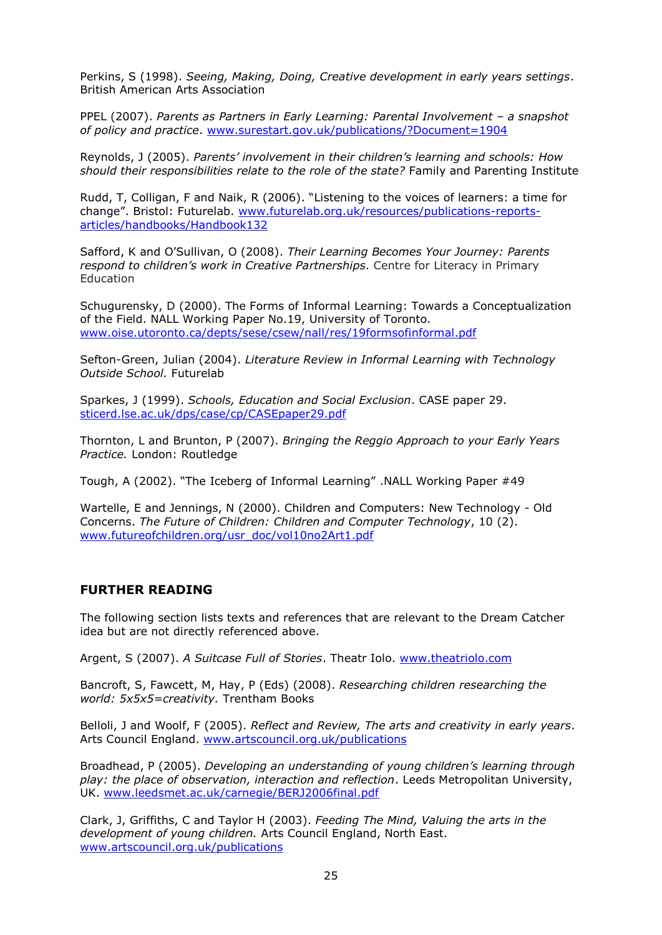Perkins, S (1998). *Seeing, Making, Doing, Creative development in early years settings*. British American Arts Association

PPEL (2007). Parents as Partners in Early Learning: Parental Involvement - a snapshot *of policy and practice*. [www.surestart.gov.uk/publications/?Document=1904](http://www.surestart.gov.uk/publications/?Document=1904)

Reynolds, J (2005). *Parents' involvement in their children's learning and schools: How should their responsibilities relate to the role of the state?* Family and Parenting Institute

Rudd, T, Colligan, F and Naik, R (2006). "Listening to the voices of learners: a time for change". Bristol: Futurelab. [www.futurelab.org.uk/resources/publications-reports](http://www.futurelab.org.uk/resources/publications-reports-articles/handbooks/Handbook132)[articles/handbooks/Handbook132](http://www.futurelab.org.uk/resources/publications-reports-articles/handbooks/Handbook132) 

Safford, K and O"Sullivan, O (2008). *Their Learning Becomes Your Journey: Parents respond to children's work in Creative Partnerships*. Centre for Literacy in Primary **Education** 

Schugurensky, D (2000). The Forms of Informal Learning: Towards a Conceptualization of the Field. NALL Working Paper No.19, University of Toronto. [www.oise.utoronto.ca/depts/sese/csew/nall/res/19formsofinformal.pdf](http://www.oise.utoronto.ca/depts/sese/csew/nall/res/19formsofinformal.pdf)

Sefton-Green, Julian (2004). *Literature Review in Informal Learning with Technology Outside School.* Futurelab

Sparkes, J (1999). *Schools, Education and Social Exclusion*. CASE paper 29. [sticerd.lse.ac.uk/dps/case/cp/CASEpaper29.pdf](http://sticerd.lse.ac.uk/dps/case/cp/CASEpaper29.pdf)

Thornton, L and Brunton, P (2007). *Bringing the Reggio Approach to your Early Years Practice.* London: Routledge

Tough, A (2002). "The Iceberg of Informal Learning" .NALL Working Paper #49

Wartelle, E and Jennings, N (2000). Children and Computers: New Technology - Old Concerns. *The Future of Children: Children and Computer Technology*, 10 (2). [www.futureofchildren.org/usr\\_doc/vol10no2Art1.pdf](http://www.futureofchildren.org/usr_doc/vol10no2Art1.pdf)

#### **FURTHER READING**

The following section lists texts and references that are relevant to the Dream Catcher idea but are not directly referenced above.

Argent, S (2007). *A Suitcase Full of Stories*. Theatr Iolo. [www.theatriolo.com](http://www.theatriolo.com/)

Bancroft, S, Fawcett, M, Hay, P (Eds) (2008). *Researching children researching the world: 5x5x5=creativity.* Trentham Books

Belloli, J and Woolf, F (2005). *Reflect and Review, The arts and creativity in early years*. Arts Council England. [www.artscouncil.org.uk/publications](http://www.artscouncil.org.uk/publications)

Broadhead, P (2005). *Developing an understanding of young children's learning through play: the place of observation, interaction and reflection*. Leeds Metropolitan University, UK. [www.leedsmet.ac.uk/carnegie/BERJ2006final.pdf](http://www.leedsmet.ac.uk/carnegie/BERJ2006final.pdf)

Clark, J, Griffiths, C and Taylor H (2003). *Feeding The Mind, Valuing the arts in the development of young children.* Arts Council England, North East. [www.artscouncil.org.uk/publications](http://www.artscouncil.org.uk/publications)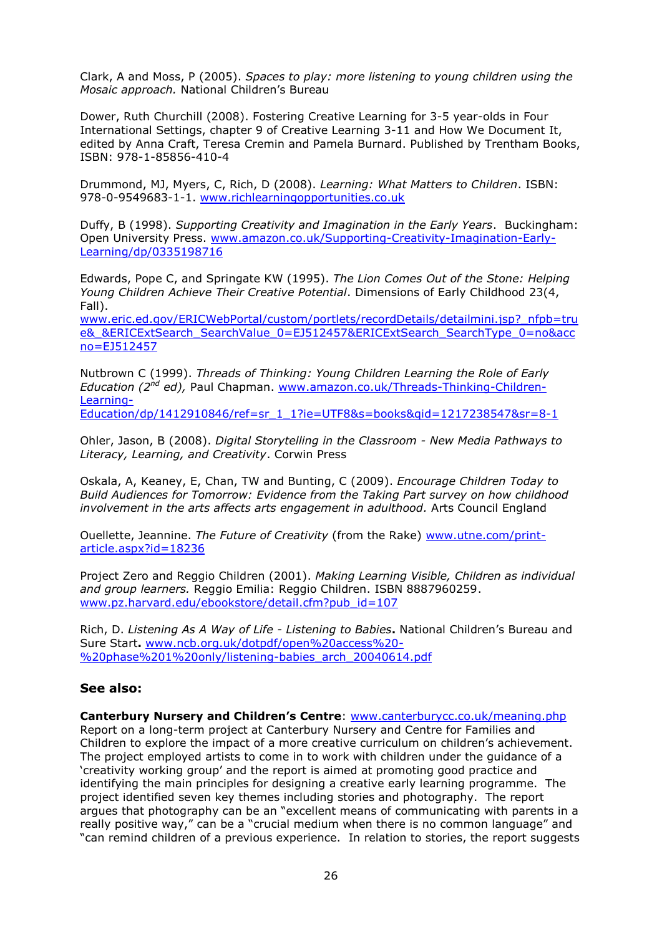Clark, A and Moss, P (2005). *Spaces to play: more listening to young children using the Mosaic approach.* National Children"s Bureau

Dower, Ruth Churchill (2008). Fostering Creative Learning for 3-5 year-olds in Four International Settings, chapter 9 of Creative Learning 3-11 and How We Document It, edited by Anna Craft, Teresa Cremin and Pamela Burnard. Published by Trentham Books, ISBN: 978-1-85856-410-4

Drummond, MJ, Myers, C, Rich, D (2008). *Learning: What Matters to Children*. ISBN: 978-0-9549683-1-1. [www.richlearningopportunities.co.uk](http://www.richlearningopportunities.co.uk/)

Duffy, B (1998). *Supporting Creativity and Imagination in the Early Years*. Buckingham: Open University Press. [www.amazon.co.uk/Supporting-Creativity-Imagination-Early-](http://www.amazon.co.uk/Supporting-Creativity-Imagination-Early-Learning/dp/0335198716)[Learning/dp/0335198716](http://www.amazon.co.uk/Supporting-Creativity-Imagination-Early-Learning/dp/0335198716)

Edwards, Pope C, and Springate KW (1995). *The Lion Comes Out of the Stone: Helping Young Children Achieve Their Creative Potential*. Dimensions of Early Childhood 23(4, Fall).

[www.eric.ed.gov/ERICWebPortal/custom/portlets/recordDetails/detailmini.jsp?\\_nfpb=tru](http://www.eric.ed.gov/ERICWebPortal/custom/portlets/recordDetails/detailmini.jsp?_nfpb=true&_&ERICExtSearch_SearchValue_0=EJ512457&ERICExtSearch_SearchType_0=no&accno=EJ512457) e& &ERICExtSearch\_SearchValue\_0=EJ512457&ERICExtSearch\_SearchType\_0=no&acc [no=EJ512457](http://www.eric.ed.gov/ERICWebPortal/custom/portlets/recordDetails/detailmini.jsp?_nfpb=true&_&ERICExtSearch_SearchValue_0=EJ512457&ERICExtSearch_SearchType_0=no&accno=EJ512457)

Nutbrown C (1999). *Threads of Thinking: Young Children Learning the Role of Early Education (2nd ed),* Paul Chapman. [www.amazon.co.uk/Threads-Thinking-Children-](http://www.amazon.co.uk/Threads-Thinking-Children-Learning-Education/dp/1412910846/ref=sr_1_1?ie=UTF8&s=books&qid=1217238547&sr=8-1)[Learning-](http://www.amazon.co.uk/Threads-Thinking-Children-Learning-Education/dp/1412910846/ref=sr_1_1?ie=UTF8&s=books&qid=1217238547&sr=8-1)[Education/dp/1412910846/ref=sr\\_1\\_1?ie=UTF8&s=books&qid=1217238547&sr=8-1](http://www.amazon.co.uk/Threads-Thinking-Children-Learning-Education/dp/1412910846/ref=sr_1_1?ie=UTF8&s=books&qid=1217238547&sr=8-1)

Ohler, Jason, B (2008). *Digital Storytelling in the Classroom - New Media Pathways to Literacy, Learning, and Creativity*. Corwin Press

Oskala, A, Keaney, E, Chan, TW and Bunting, C (2009). *Encourage Children Today to Build Audiences for Tomorrow: Evidence from the Taking Part survey on how childhood involvement in the arts affects arts engagement in adulthood.* Arts Council England

Ouellette, Jeannine. *The Future of Creativity* (from the Rake) [www.utne.com/print](http://www.utne.com/print-article.aspx?id=18236)[article.aspx?id=18236](http://www.utne.com/print-article.aspx?id=18236)

Project Zero and Reggio Children (2001). *Making Learning Visible, Children as individual and group learners.* Reggio Emilia: Reggio Children. ISBN 8887960259. [www.pz.harvard.edu/ebookstore/detail.cfm?pub\\_id=107](http://www.pz.harvard.edu/ebookstore/detail.cfm?pub_id=107)

Rich, D. *Listening As A Way of Life - Listening to Babies***.** National Children"s Bureau and Sure Start**.** [www.ncb.org.uk/dotpdf/open%20access%20-](http://www.ncb.org.uk/dotpdf/open%20access%20-%20phase%201%20only/listening-babies_arch_20040614.pdf) [%20phase%201%20only/listening-babies\\_arch\\_20040614.pdf](http://www.ncb.org.uk/dotpdf/open%20access%20-%20phase%201%20only/listening-babies_arch_20040614.pdf)

# **See also:**

**Canterbury Nursery and Children"s Centre**: [www.canterburycc.co.uk/meaning.php](http://www.canterburycc.co.uk/meaning.php)

Report on a long-term project at Canterbury Nursery and Centre for Families and Children to explore the impact of a more creative curriculum on children"s achievement. The project employed artists to come in to work with children under the guidance of a "creativity working group" and the report is aimed at promoting good practice and identifying the main principles for designing a creative early learning programme. The project identified seven key themes including stories and photography. The report argues that photography can be an "excellent means of communicating with parents in a really positive way," can be a "crucial medium when there is no common language" and "can remind children of a previous experience. In relation to stories, the report suggests